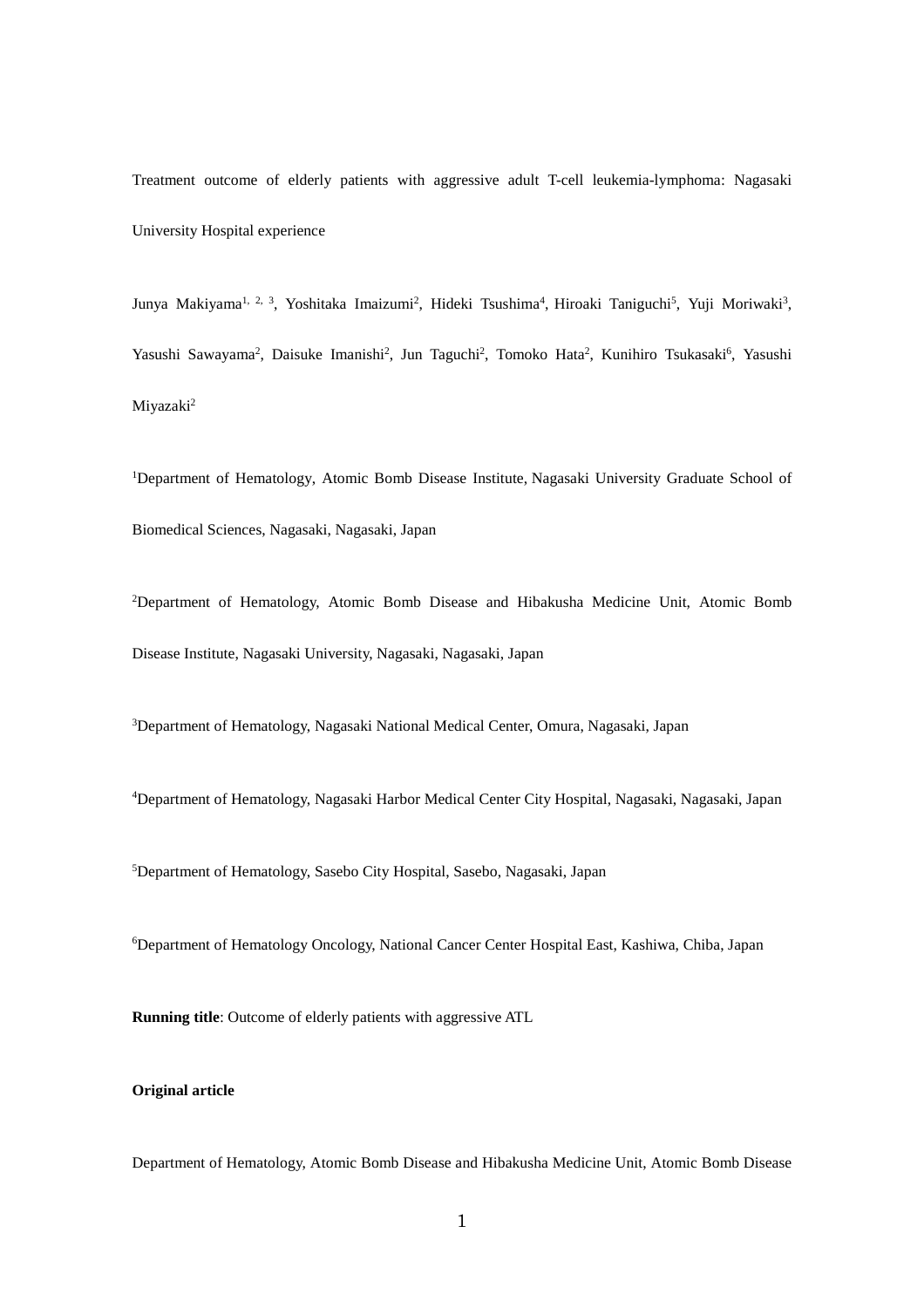Treatment outcome of elderly patients with aggressive adult T-cell leukemia-lymphoma: Nagasaki University Hospital experience

Junya Makiyama<sup>1, 2, 3</sup>, Yoshitaka Imaizumi<sup>2</sup>, Hideki Tsushima<sup>4</sup>, Hiroaki Taniguchi<sup>5</sup>, Yuji Moriwaki<sup>3</sup>, Yasushi Sawayama<sup>2</sup>, Daisuke Imanishi<sup>2</sup>, Jun Taguchi<sup>2</sup>, Tomoko Hata<sup>2</sup>, Kunihiro Tsukasaki<sup>6</sup>, Yasushi Miyazaki2

<sup>1</sup>Department of Hematology, Atomic Bomb Disease Institute, Nagasaki University Graduate School of Biomedical Sciences, Nagasaki, Nagasaki, Japan

2 Department of Hematology, Atomic Bomb Disease and Hibakusha Medicine Unit, Atomic Bomb Disease Institute, Nagasaki University, Nagasaki, Nagasaki, Japan

3 Department of Hematology, Nagasaki National Medical Center, Omura, Nagasaki, Japan

4 Department of Hematology, Nagasaki Harbor Medical Center City Hospital, Nagasaki, Nagasaki, Japan

5 Department of Hematology, Sasebo City Hospital, Sasebo, Nagasaki, Japan

6 Department of Hematology Oncology, National Cancer Center Hospital East, Kashiwa, Chiba, Japan

**Running title**: Outcome of elderly patients with aggressive ATL

# **Original article**

Department of Hematology, Atomic Bomb Disease and Hibakusha Medicine Unit, Atomic Bomb Disease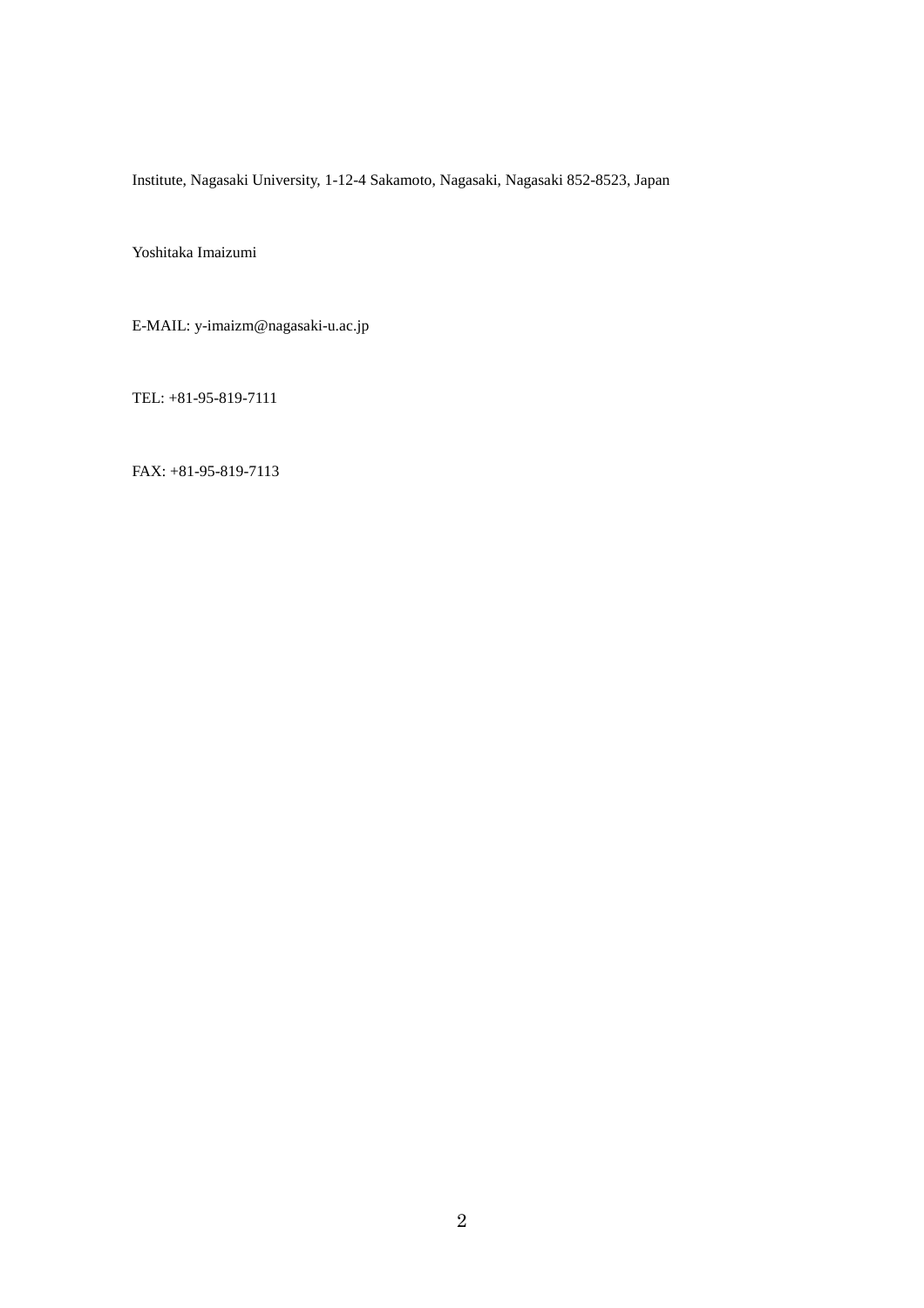Institute, Nagasaki University, 1-12-4 Sakamoto, Nagasaki, Nagasaki 852-8523, Japan

Yoshitaka Imaizumi

E-MAIL: y-imaizm@nagasaki-u.ac.jp

TEL: +81-95-819-7111

FAX: +81-95-819-7113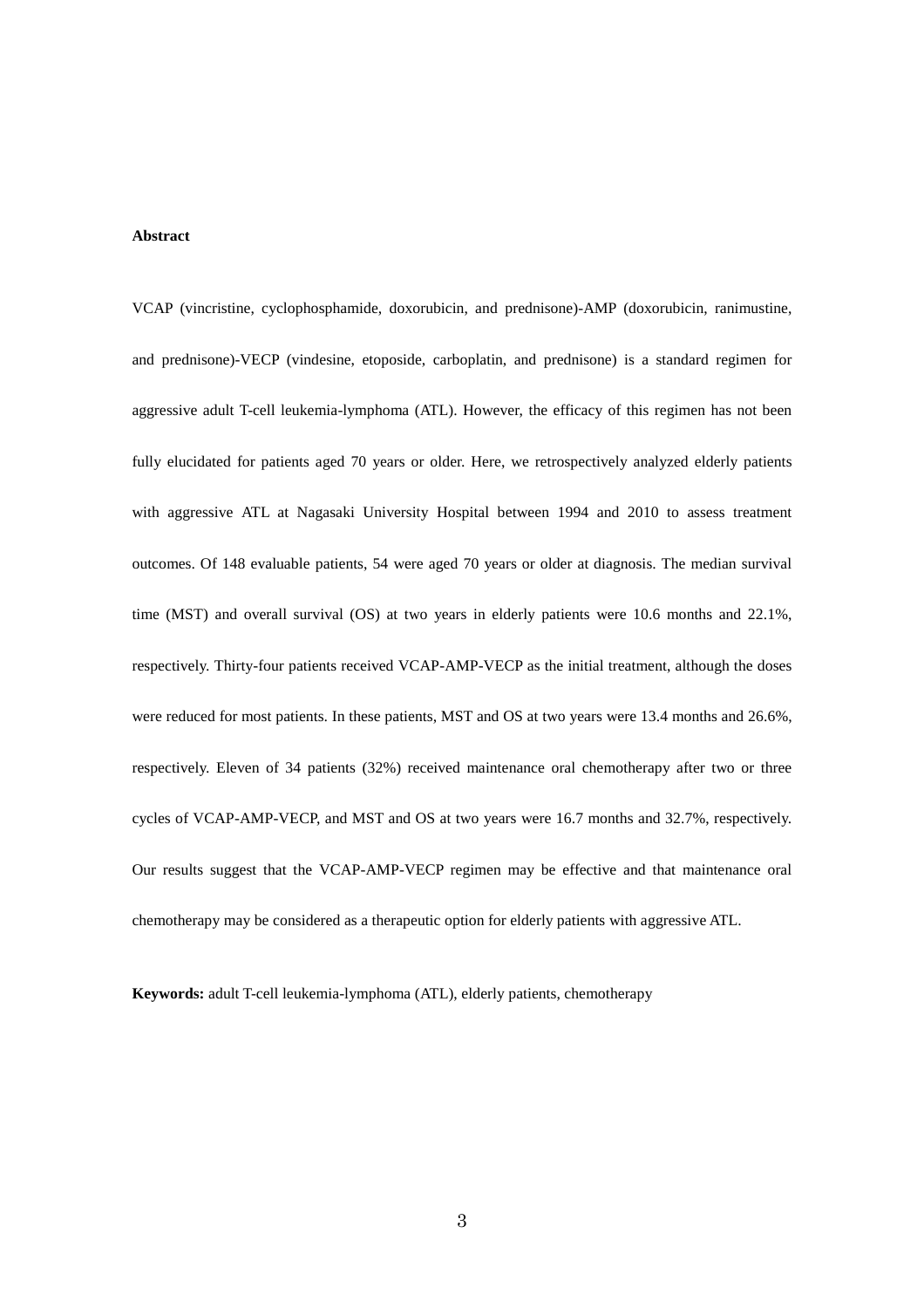# **Abstract**

VCAP (vincristine, cyclophosphamide, doxorubicin, and prednisone)-AMP (doxorubicin, ranimustine, and prednisone)-VECP (vindesine, etoposide, carboplatin, and prednisone) is a standard regimen for aggressive adult T-cell leukemia-lymphoma (ATL). However, the efficacy of this regimen has not been fully elucidated for patients aged 70 years or older. Here, we retrospectively analyzed elderly patients with aggressive ATL at Nagasaki University Hospital between 1994 and 2010 to assess treatment outcomes. Of 148 evaluable patients, 54 were aged 70 years or older at diagnosis. The median survival time (MST) and overall survival (OS) at two years in elderly patients were 10.6 months and 22.1%, respectively. Thirty-four patients received VCAP-AMP-VECP as the initial treatment, although the doses were reduced for most patients. In these patients, MST and OS at two years were 13.4 months and 26.6%, respectively. Eleven of 34 patients (32%) received maintenance oral chemotherapy after two or three cycles of VCAP-AMP-VECP, and MST and OS at two years were 16.7 months and 32.7%, respectively. Our results suggest that the VCAP-AMP-VECP regimen may be effective and that maintenance oral chemotherapy may be considered as a therapeutic option for elderly patients with aggressive ATL.

**Keywords:** adult T-cell leukemia-lymphoma (ATL), elderly patients, chemotherapy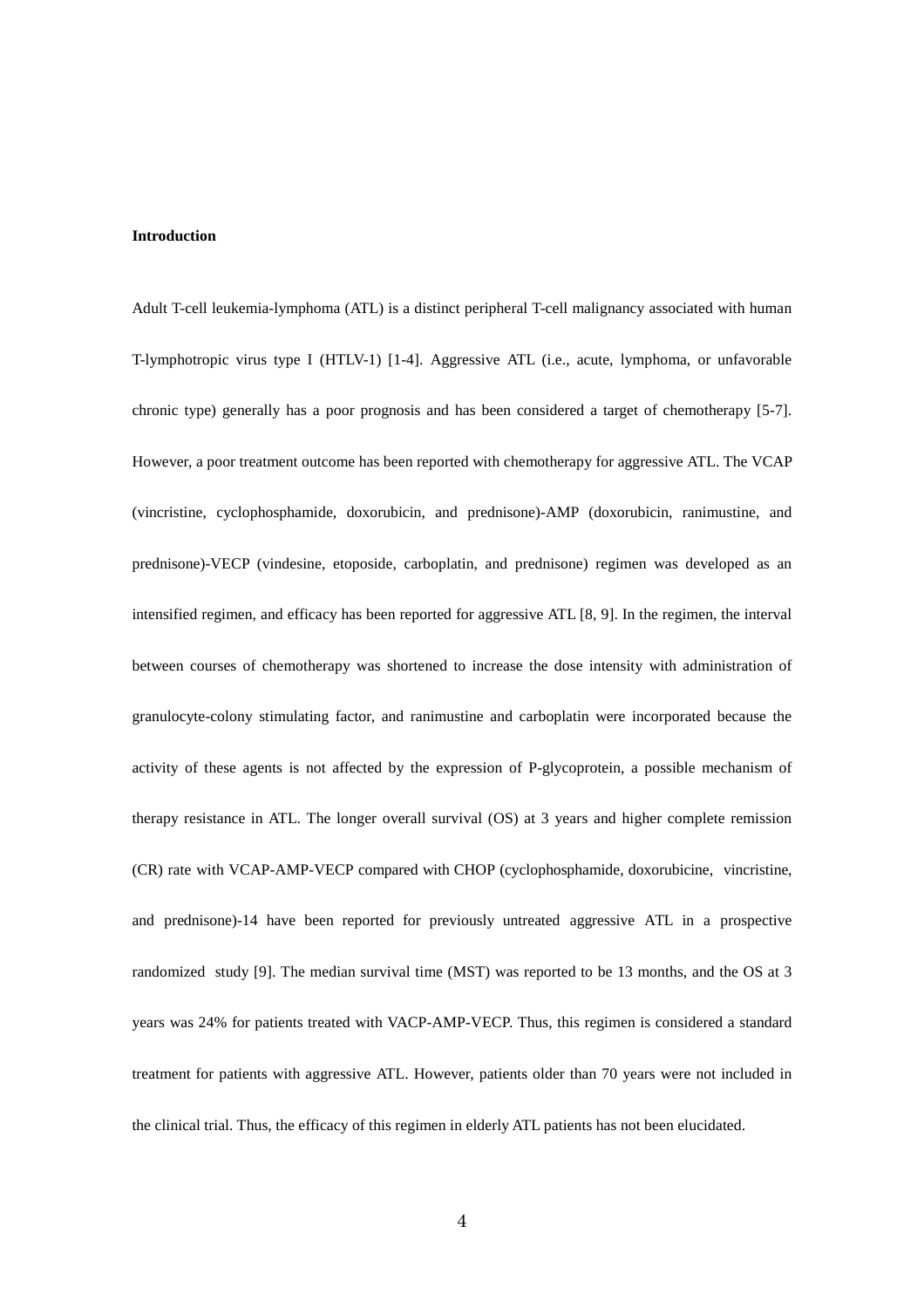### **Introduction**

Adult T-cell leukemia-lymphoma (ATL) is a distinct peripheral T-cell malignancy associated with human T-lymphotropic virus type I (HTLV-1) [1-4]. Aggressive ATL (i.e., acute, lymphoma, or unfavorable chronic type) generally has a poor prognosis and has been considered a target of chemotherapy [5-7]. However, a poor treatment outcome has been reported with chemotherapy for aggressive ATL. The VCAP (vincristine, cyclophosphamide, doxorubicin, and prednisone)-AMP (doxorubicin, ranimustine, and prednisone)-VECP (vindesine, etoposide, carboplatin, and prednisone) regimen was developed as an intensified regimen, and efficacy has been reported for aggressive ATL [8, 9]. In the regimen, the interval between courses of chemotherapy was shortened to increase the dose intensity with administration of granulocyte-colony stimulating factor, and ranimustine and carboplatin were incorporated because the activity of these agents is not affected by the expression of P-glycoprotein, a possible mechanism of therapy resistance in ATL. The longer overall survival (OS) at 3 years and higher complete remission (CR) rate with VCAP-AMP-VECP compared with CHOP (cyclophosphamide, doxorubicine, vincristine, and prednisone)-14 have been reported for previously untreated aggressive ATL in a prospective randomized study [9]. The median survival time (MST) was reported to be 13 months, and the OS at 3 years was 24% for patients treated with VACP-AMP-VECP. Thus, this regimen is considered a standard treatment for patients with aggressive ATL. However, patients older than 70 years were not included in the clinical trial. Thus, the efficacy of this regimen in elderly ATL patients has not been elucidated.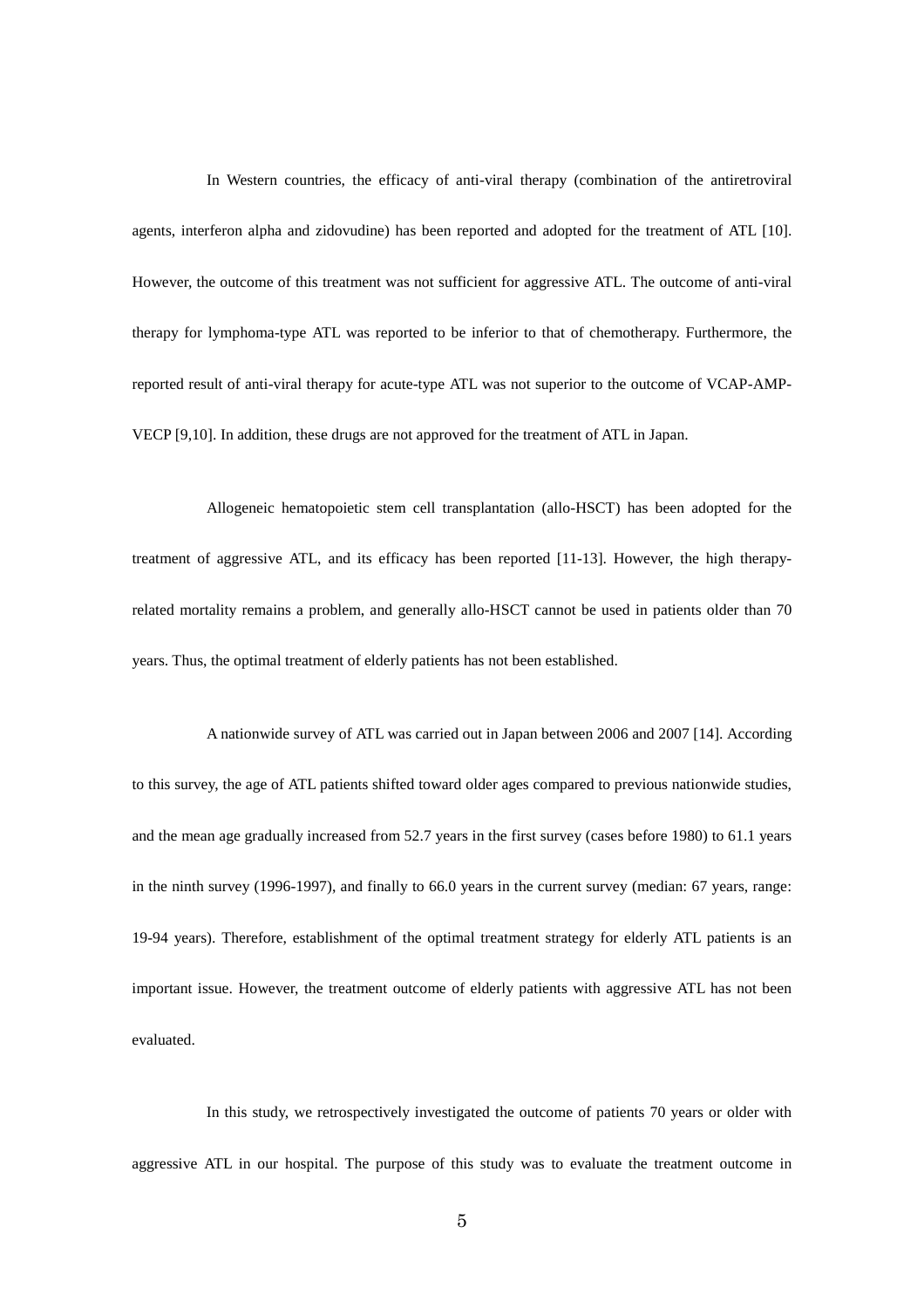In Western countries, the efficacy of anti-viral therapy (combination of the antiretroviral agents, interferon alpha and zidovudine) has been reported and adopted for the treatment of ATL [10]. However, the outcome of this treatment was not sufficient for aggressive ATL. The outcome of anti-viral therapy for lymphoma-type ATL was reported to be inferior to that of chemotherapy. Furthermore, the reported result of anti-viral therapy for acute-type ATL was not superior to the outcome of VCAP-AMP-VECP [9,10]. In addition, these drugs are not approved for the treatment of ATL in Japan.

Allogeneic hematopoietic stem cell transplantation (allo-HSCT) has been adopted for the treatment of aggressive ATL, and its efficacy has been reported [11-13]. However, the high therapyrelated mortality remains a problem, and generally allo-HSCT cannot be used in patients older than 70 years. Thus, the optimal treatment of elderly patients has not been established.

A nationwide survey of ATL was carried out in Japan between 2006 and 2007 [14]. According to this survey, the age of ATL patients shifted toward older ages compared to previous nationwide studies, and the mean age gradually increased from 52.7 years in the first survey (cases before 1980) to 61.1 years in the ninth survey (1996-1997), and finally to 66.0 years in the current survey (median: 67 years, range: 19-94 years). Therefore, establishment of the optimal treatment strategy for elderly ATL patients is an important issue. However, the treatment outcome of elderly patients with aggressive ATL has not been evaluated.

In this study, we retrospectively investigated the outcome of patients 70 years or older with aggressive ATL in our hospital. The purpose of this study was to evaluate the treatment outcome in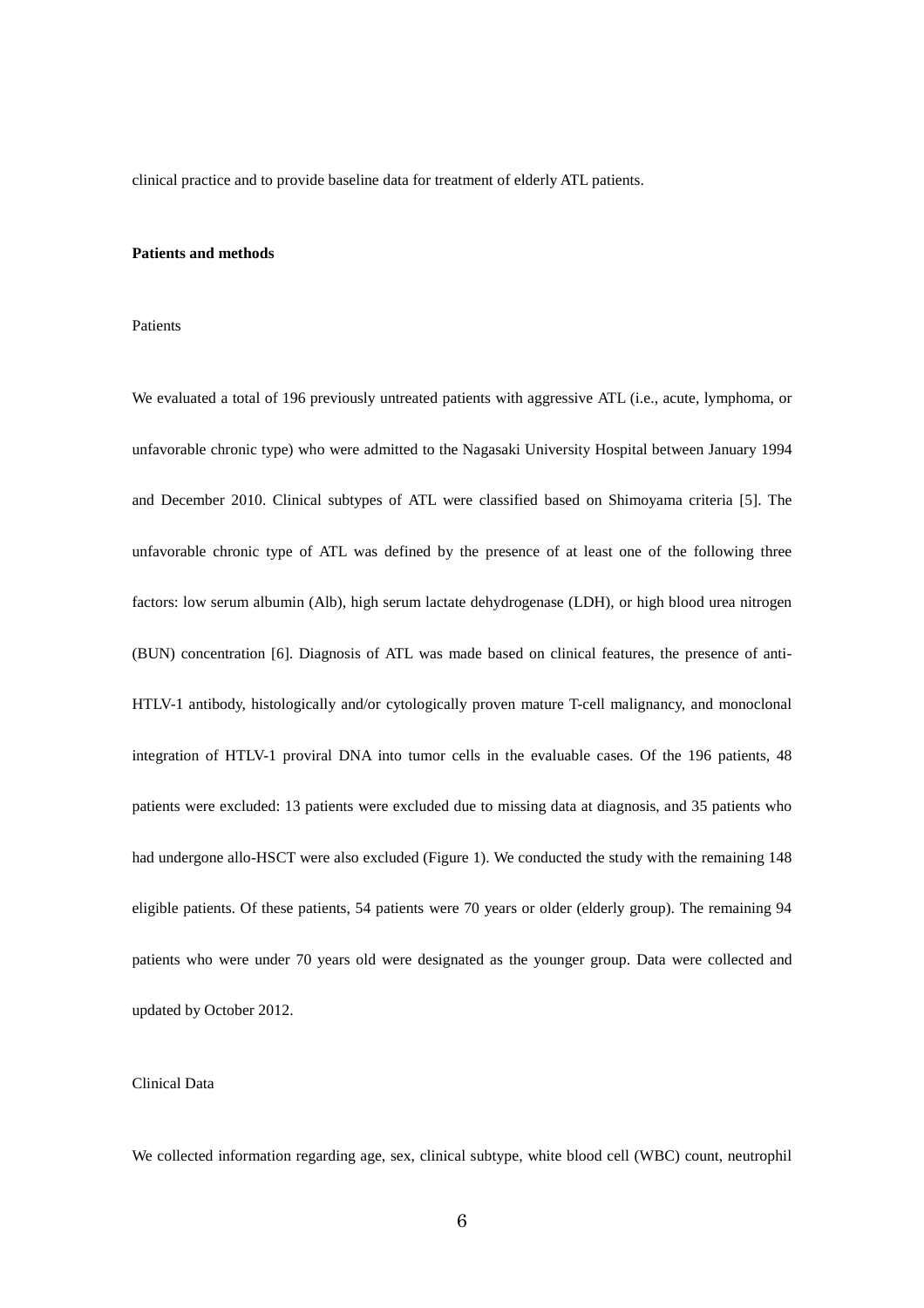clinical practice and to provide baseline data for treatment of elderly ATL patients.

### **Patients and methods**

#### Patients

We evaluated a total of 196 previously untreated patients with aggressive ATL (i.e., acute, lymphoma, or unfavorable chronic type) who were admitted to the Nagasaki University Hospital between January 1994 and December 2010. Clinical subtypes of ATL were classified based on Shimoyama criteria [5]. The unfavorable chronic type of ATL was defined by the presence of at least one of the following three factors: low serum albumin (Alb), high serum lactate dehydrogenase (LDH), or high blood urea nitrogen (BUN) concentration [6]. Diagnosis of ATL was made based on clinical features, the presence of anti-HTLV-1 antibody, histologically and/or cytologically proven mature T-cell malignancy, and monoclonal integration of HTLV-1 proviral DNA into tumor cells in the evaluable cases. Of the 196 patients, 48 patients were excluded: 13 patients were excluded due to missing data at diagnosis, and 35 patients who had undergone allo-HSCT were also excluded (Figure 1). We conducted the study with the remaining 148 eligible patients. Of these patients, 54 patients were 70 years or older (elderly group). The remaining 94 patients who were under 70 years old were designated as the younger group. Data were collected and updated by October 2012.

### Clinical Data

We collected information regarding age, sex, clinical subtype, white blood cell (WBC) count, neutrophil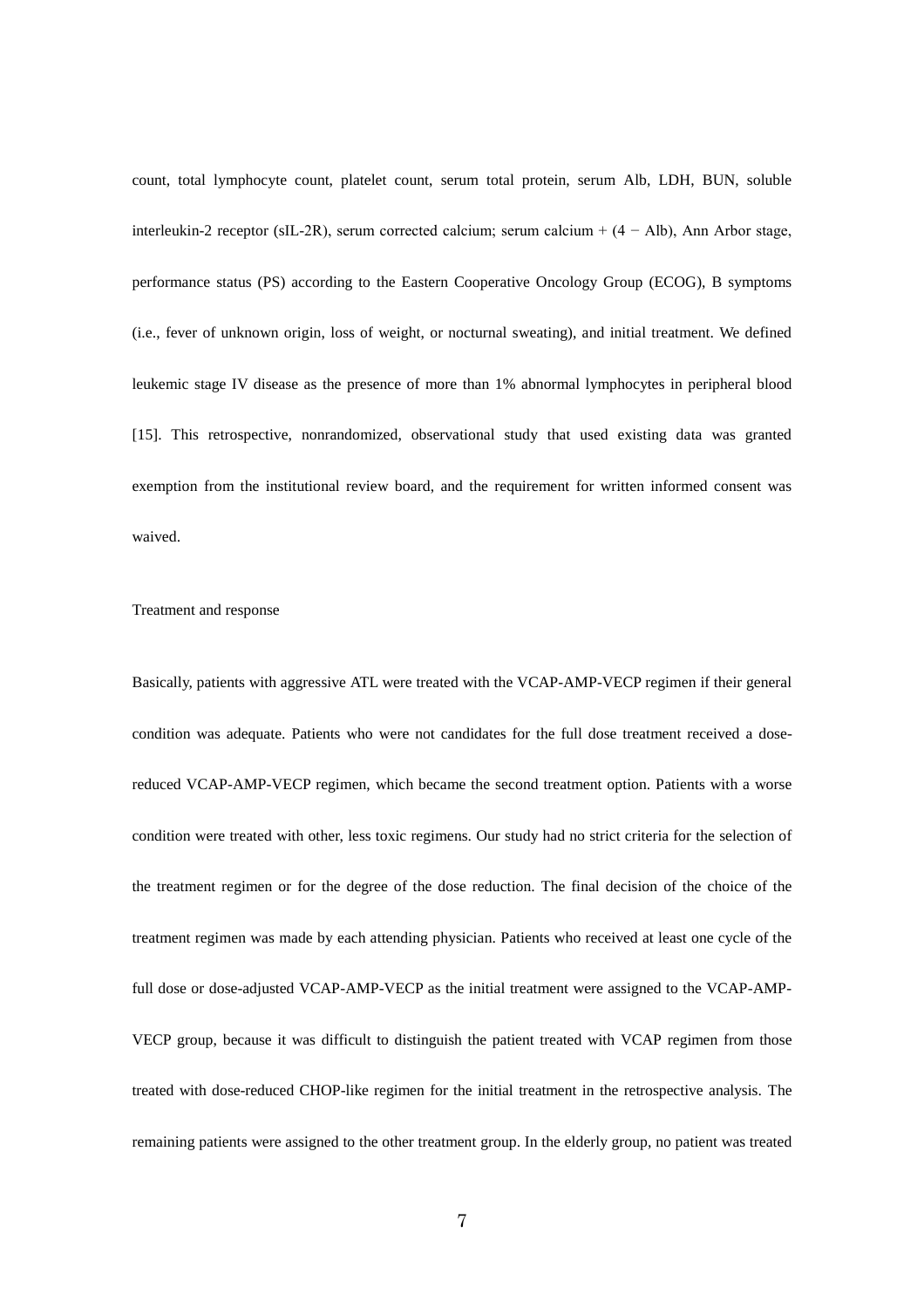count, total lymphocyte count, platelet count, serum total protein, serum Alb, LDH, BUN, soluble interleukin-2 receptor (sIL-2R), serum corrected calcium; serum calcium +  $(4 - Alb)$ , Ann Arbor stage, performance status (PS) according to the Eastern Cooperative Oncology Group (ECOG), B symptoms (i.e., fever of unknown origin, loss of weight, or nocturnal sweating), and initial treatment. We defined leukemic stage IV disease as the presence of more than 1% abnormal lymphocytes in peripheral blood [15]. This retrospective, nonrandomized, observational study that used existing data was granted exemption from the institutional review board, and the requirement for written informed consent was waived.

#### Treatment and response

Basically, patients with aggressive ATL were treated with the VCAP-AMP-VECP regimen if their general condition was adequate. Patients who were not candidates for the full dose treatment received a dosereduced VCAP-AMP-VECP regimen, which became the second treatment option. Patients with a worse condition were treated with other, less toxic regimens. Our study had no strict criteria for the selection of the treatment regimen or for the degree of the dose reduction. The final decision of the choice of the treatment regimen was made by each attending physician. Patients who received at least one cycle of the full dose or dose-adjusted VCAP-AMP-VECP as the initial treatment were assigned to the VCAP-AMP-VECP group, because it was difficult to distinguish the patient treated with VCAP regimen from those treated with dose-reduced CHOP-like regimen for the initial treatment in the retrospective analysis. The remaining patients were assigned to the other treatment group. In the elderly group, no patient was treated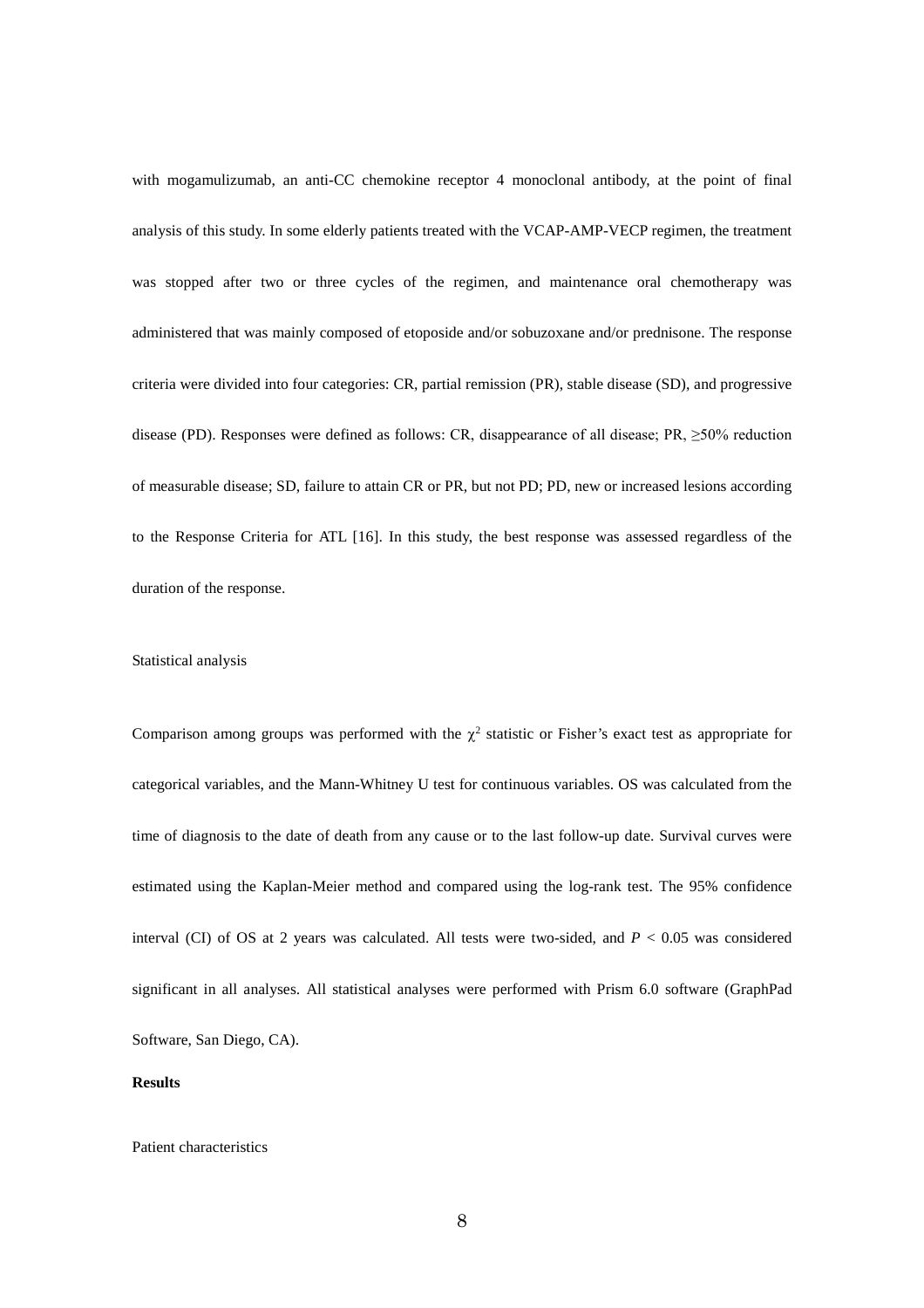with mogamulizumab, an anti-CC chemokine receptor 4 monoclonal antibody, at the point of final analysis of this study. In some elderly patients treated with the VCAP-AMP-VECP regimen, the treatment was stopped after two or three cycles of the regimen, and maintenance oral chemotherapy was administered that was mainly composed of etoposide and/or sobuzoxane and/or prednisone. The response criteria were divided into four categories: CR, partial remission (PR), stable disease (SD), and progressive disease (PD). Responses were defined as follows: CR, disappearance of all disease; PR, ≥50% reduction of measurable disease; SD, failure to attain CR or PR, but not PD; PD, new or increased lesions according to the Response Criteria for ATL [16]. In this study, the best response was assessed regardless of the duration of the response.

#### Statistical analysis

Comparison among groups was performed with the  $\chi^2$  statistic or Fisher's exact test as appropriate for categorical variables, and the Mann-Whitney U test for continuous variables. OS was calculated from the time of diagnosis to the date of death from any cause or to the last follow-up date. Survival curves were estimated using the Kaplan-Meier method and compared using the log-rank test. The 95% confidence interval (CI) of OS at 2 years was calculated. All tests were two-sided, and *P* < 0.05 was considered significant in all analyses. All statistical analyses were performed with Prism 6.0 software (GraphPad Software, San Diego, CA).

### **Results**

#### Patient characteristics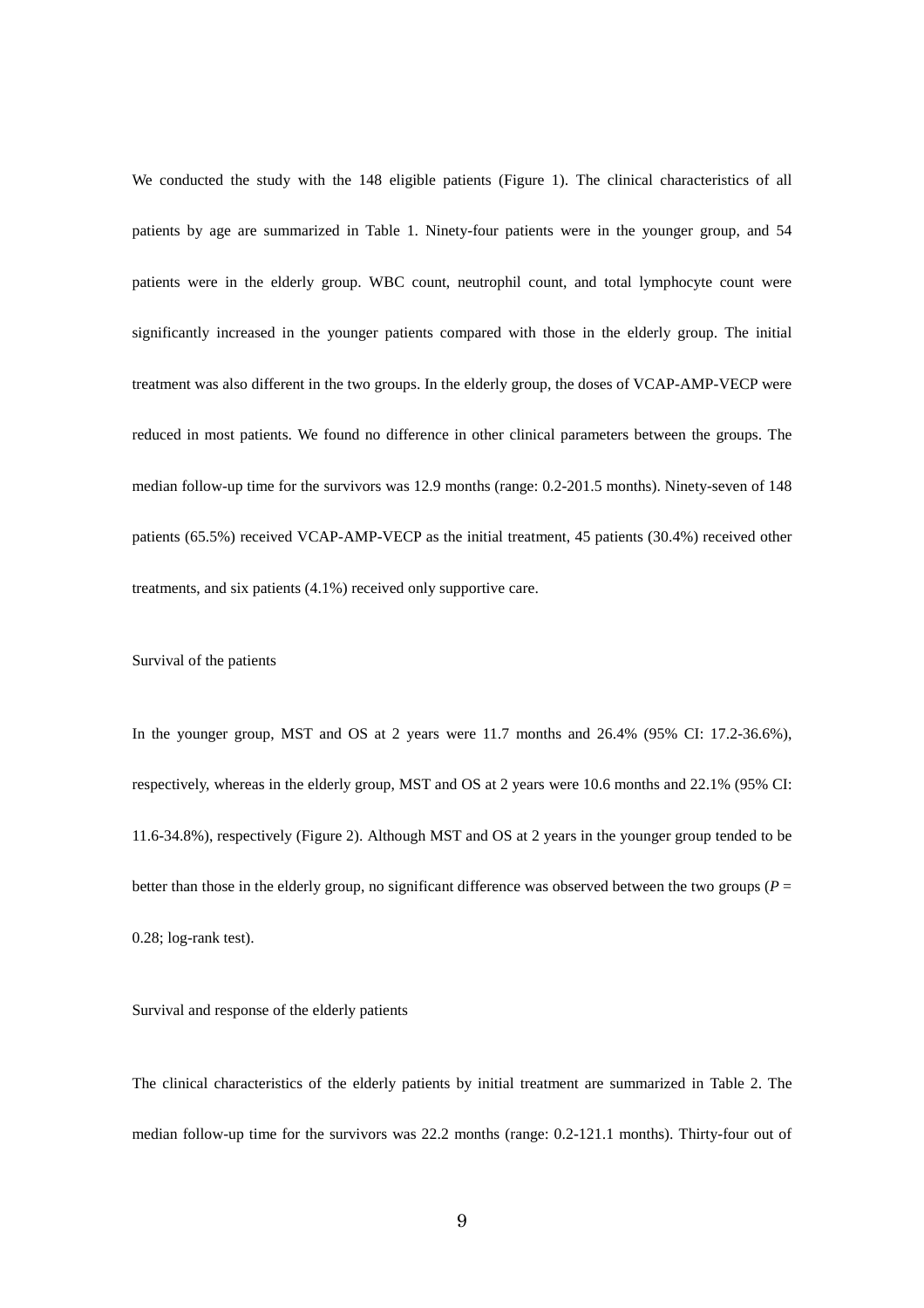We conducted the study with the 148 eligible patients (Figure 1). The clinical characteristics of all patients by age are summarized in Table 1. Ninety-four patients were in the younger group, and 54 patients were in the elderly group. WBC count, neutrophil count, and total lymphocyte count were significantly increased in the younger patients compared with those in the elderly group. The initial treatment was also different in the two groups. In the elderly group, the doses of VCAP-AMP-VECP were reduced in most patients. We found no difference in other clinical parameters between the groups. The median follow-up time for the survivors was 12.9 months (range: 0.2-201.5 months). Ninety-seven of 148 patients (65.5%) received VCAP-AMP-VECP as the initial treatment, 45 patients (30.4%) received other treatments, and six patients (4.1%) received only supportive care.

# Survival of the patients

In the younger group, MST and OS at 2 years were 11.7 months and 26.4% (95% CI: 17.2-36.6%), respectively, whereas in the elderly group, MST and OS at 2 years were 10.6 months and 22.1% (95% CI: 11.6-34.8%), respectively (Figure 2). Although MST and OS at 2 years in the younger group tended to be better than those in the elderly group, no significant difference was observed between the two groups ( $P =$ 0.28; log-rank test).

# Survival and response of the elderly patients

The clinical characteristics of the elderly patients by initial treatment are summarized in Table 2. The median follow-up time for the survivors was 22.2 months (range: 0.2-121.1 months). Thirty-four out of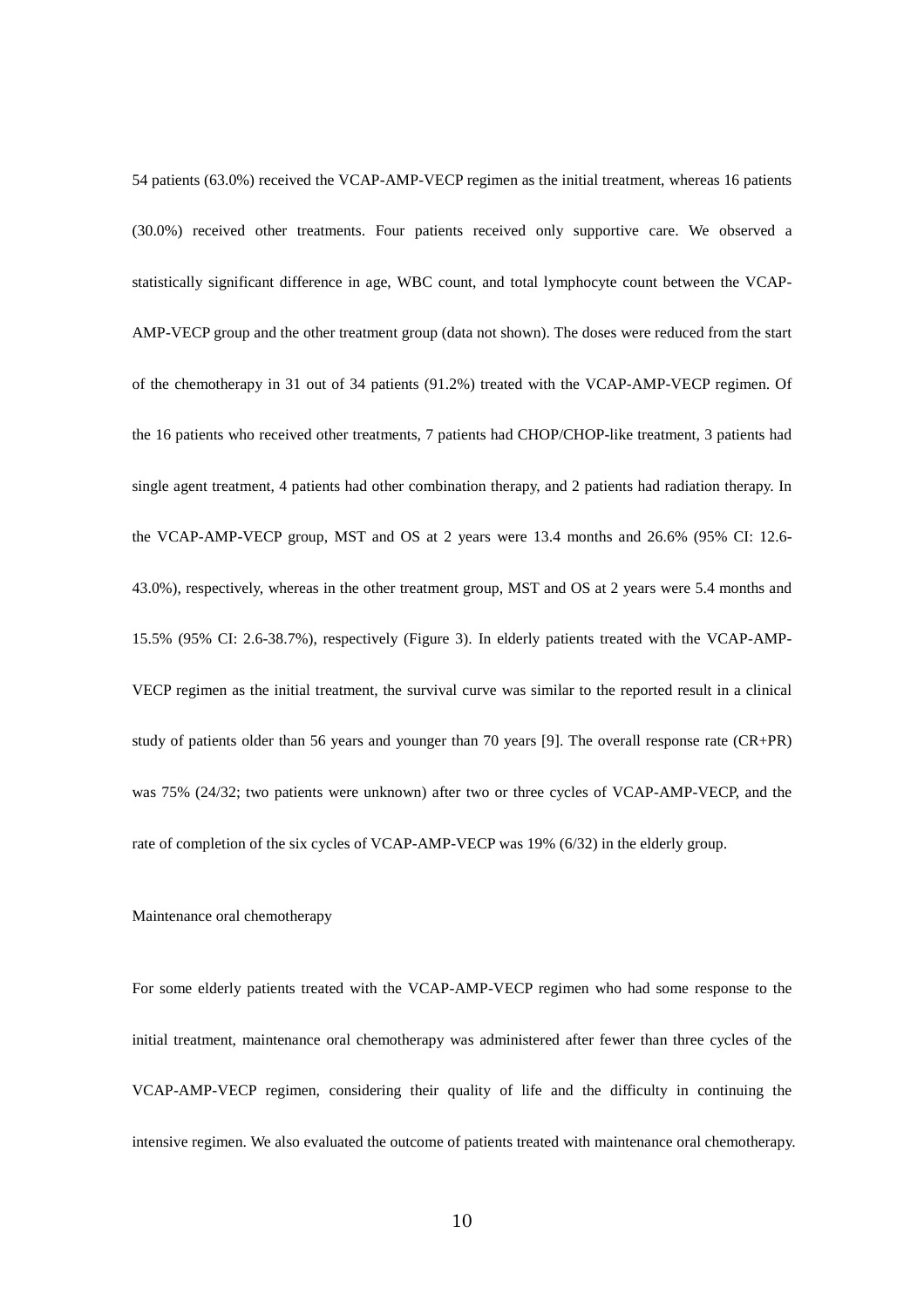54 patients (63.0%) received the VCAP-AMP-VECP regimen as the initial treatment, whereas 16 patients (30.0%) received other treatments. Four patients received only supportive care. We observed a statistically significant difference in age, WBC count, and total lymphocyte count between the VCAP-AMP-VECP group and the other treatment group (data not shown). The doses were reduced from the start of the chemotherapy in 31 out of 34 patients (91.2%) treated with the VCAP-AMP-VECP regimen. Of the 16 patients who received other treatments, 7 patients had CHOP/CHOP-like treatment, 3 patients had single agent treatment, 4 patients had other combination therapy, and 2 patients had radiation therapy. In the VCAP-AMP-VECP group, MST and OS at 2 years were 13.4 months and 26.6% (95% CI: 12.6- 43.0%), respectively, whereas in the other treatment group, MST and OS at 2 years were 5.4 months and 15.5% (95% CI: 2.6-38.7%), respectively (Figure 3). In elderly patients treated with the VCAP-AMP-VECP regimen as the initial treatment, the survival curve was similar to the reported result in a clinical study of patients older than 56 years and younger than 70 years [9]. The overall response rate (CR+PR) was 75% (24/32; two patients were unknown) after two or three cycles of VCAP-AMP-VECP, and the rate of completion of the six cycles of VCAP-AMP-VECP was 19% (6/32) in the elderly group.

# Maintenance oral chemotherapy

For some elderly patients treated with the VCAP-AMP-VECP regimen who had some response to the initial treatment, maintenance oral chemotherapy was administered after fewer than three cycles of the VCAP-AMP-VECP regimen, considering their quality of life and the difficulty in continuing the intensive regimen. We also evaluated the outcome of patients treated with maintenance oral chemotherapy.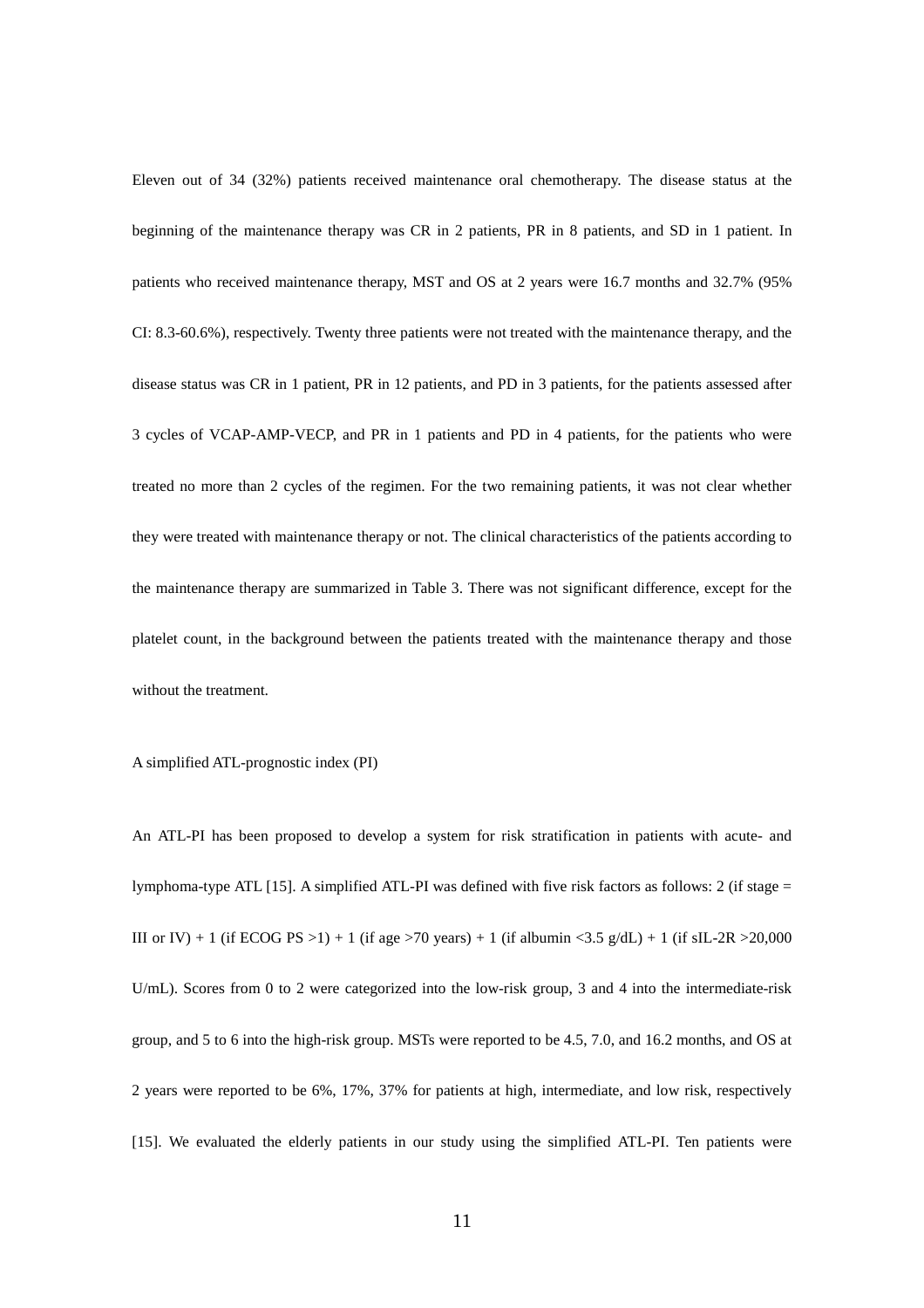Eleven out of 34 (32%) patients received maintenance oral chemotherapy. The disease status at the beginning of the maintenance therapy was CR in 2 patients, PR in 8 patients, and SD in 1 patient. In patients who received maintenance therapy, MST and OS at 2 years were 16.7 months and 32.7% (95% CI: 8.3-60.6%), respectively. Twenty three patients were not treated with the maintenance therapy, and the disease status was CR in 1 patient, PR in 12 patients, and PD in 3 patients, for the patients assessed after 3 cycles of VCAP-AMP-VECP, and PR in 1 patients and PD in 4 patients, for the patients who were treated no more than 2 cycles of the regimen. For the two remaining patients, it was not clear whether they were treated with maintenance therapy or not. The clinical characteristics of the patients according to the maintenance therapy are summarized in Table 3. There was not significant difference, except for the platelet count, in the background between the patients treated with the maintenance therapy and those without the treatment.

A simplified ATL-prognostic index (PI)

An ATL-PI has been proposed to develop a system for risk stratification in patients with acute- and lymphoma-type ATL [15]. A simplified ATL-PI was defined with five risk factors as follows: 2 (if stage = III or IV) + 1 (if ECOG PS >1) + 1 (if age >70 years) + 1 (if albumin <3.5 g/dL) + 1 (if sIL-2R >20,000 U/mL). Scores from 0 to 2 were categorized into the low-risk group, 3 and 4 into the intermediate-risk group, and 5 to 6 into the high-risk group. MSTs were reported to be 4.5, 7.0, and 16.2 months, and OS at 2 years were reported to be 6%, 17%, 37% for patients at high, intermediate, and low risk, respectively [15]. We evaluated the elderly patients in our study using the simplified ATL-PI. Ten patients were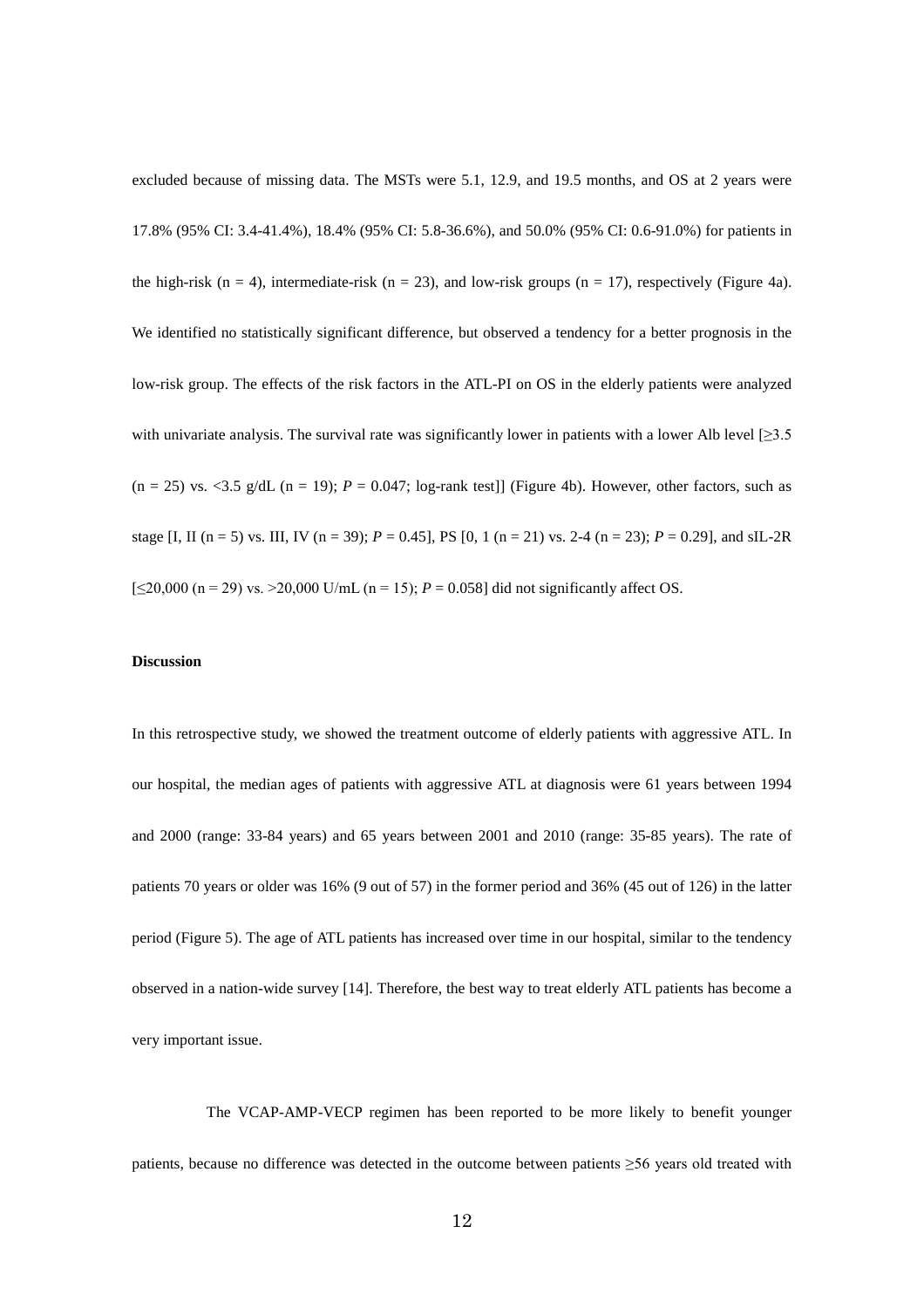excluded because of missing data. The MSTs were 5.1, 12.9, and 19.5 months, and OS at 2 years were 17.8% (95% CI: 3.4-41.4%), 18.4% (95% CI: 5.8-36.6%), and 50.0% (95% CI: 0.6-91.0%) for patients in the high-risk (n = 4), intermediate-risk (n = 23), and low-risk groups (n = 17), respectively (Figure 4a). We identified no statistically significant difference, but observed a tendency for a better prognosis in the low-risk group. The effects of the risk factors in the ATL-PI on OS in the elderly patients were analyzed with univariate analysis. The survival rate was significantly lower in patients with a lower Alb level  $[\geq 3.5]$  $(n = 25)$  vs. <3.5 g/dL  $(n = 19)$ ;  $P = 0.047$ ; log-rank test]] (Figure 4b). However, other factors, such as stage [I, II (n = 5) vs. III, IV (n = 39);  $P = 0.45$ ], PS [0, 1 (n = 21) vs. 2-4 (n = 23);  $P = 0.29$ ], and sIL-2R  $[\leq 20,000$  (n = 29) vs.  $\geq 20,000$  U/mL (n = 15);  $P = 0.058$ ] did not significantly affect OS.

### **Discussion**

In this retrospective study, we showed the treatment outcome of elderly patients with aggressive ATL. In our hospital, the median ages of patients with aggressive ATL at diagnosis were 61 years between 1994 and 2000 (range: 33-84 years) and 65 years between 2001 and 2010 (range: 35-85 years). The rate of patients 70 years or older was 16% (9 out of 57) in the former period and 36% (45 out of 126) in the latter period (Figure 5). The age of ATL patients has increased over time in our hospital, similar to the tendency observed in a nation-wide survey [14]. Therefore, the best way to treat elderly ATL patients has become a very important issue.

The VCAP-AMP-VECP regimen has been reported to be more likely to benefit younger patients, because no difference was detected in the outcome between patients ≥56 years old treated with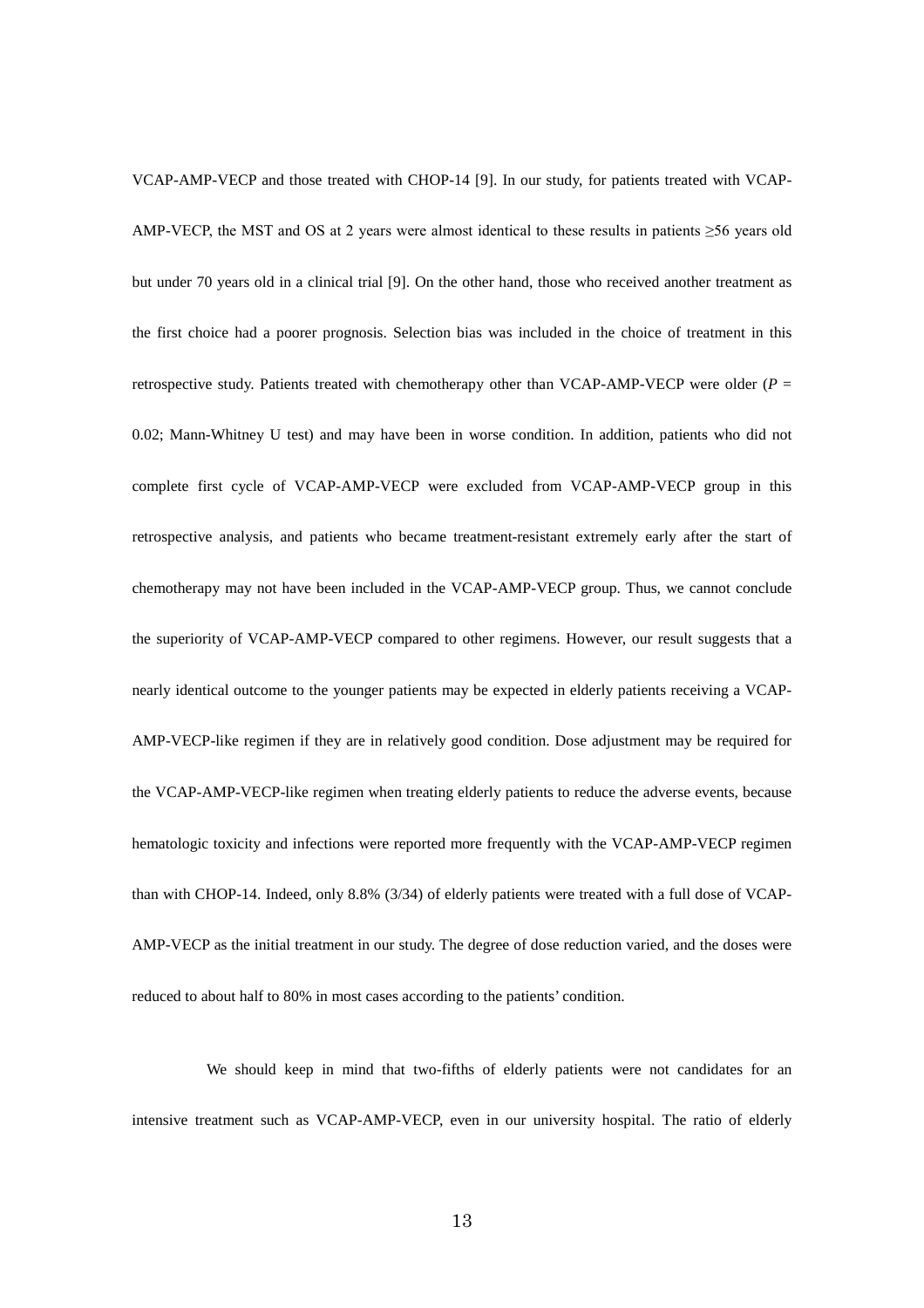VCAP-AMP-VECP and those treated with CHOP-14 [9]. In our study, for patients treated with VCAP-AMP-VECP, the MST and OS at 2 years were almost identical to these results in patients  $\geq$ 56 years old but under 70 years old in a clinical trial [9]. On the other hand, those who received another treatment as the first choice had a poorer prognosis. Selection bias was included in the choice of treatment in this retrospective study. Patients treated with chemotherapy other than VCAP-AMP-VECP were older ( $P =$ 0.02; Mann-Whitney U test) and may have been in worse condition. In addition, patients who did not complete first cycle of VCAP-AMP-VECP were excluded from VCAP-AMP-VECP group in this retrospective analysis, and patients who became treatment-resistant extremely early after the start of chemotherapy may not have been included in the VCAP-AMP-VECP group. Thus, we cannot conclude the superiority of VCAP-AMP-VECP compared to other regimens. However, our result suggests that a nearly identical outcome to the younger patients may be expected in elderly patients receiving a VCAP-AMP-VECP-like regimen if they are in relatively good condition. Dose adjustment may be required for the VCAP-AMP-VECP-like regimen when treating elderly patients to reduce the adverse events, because hematologic toxicity and infections were reported more frequently with the VCAP-AMP-VECP regimen than with CHOP-14. Indeed, only 8.8% (3/34) of elderly patients were treated with a full dose of VCAP-AMP-VECP as the initial treatment in our study. The degree of dose reduction varied, and the doses were reduced to about half to 80% in most cases according to the patients' condition.

We should keep in mind that two-fifths of elderly patients were not candidates for an intensive treatment such as VCAP-AMP-VECP, even in our university hospital. The ratio of elderly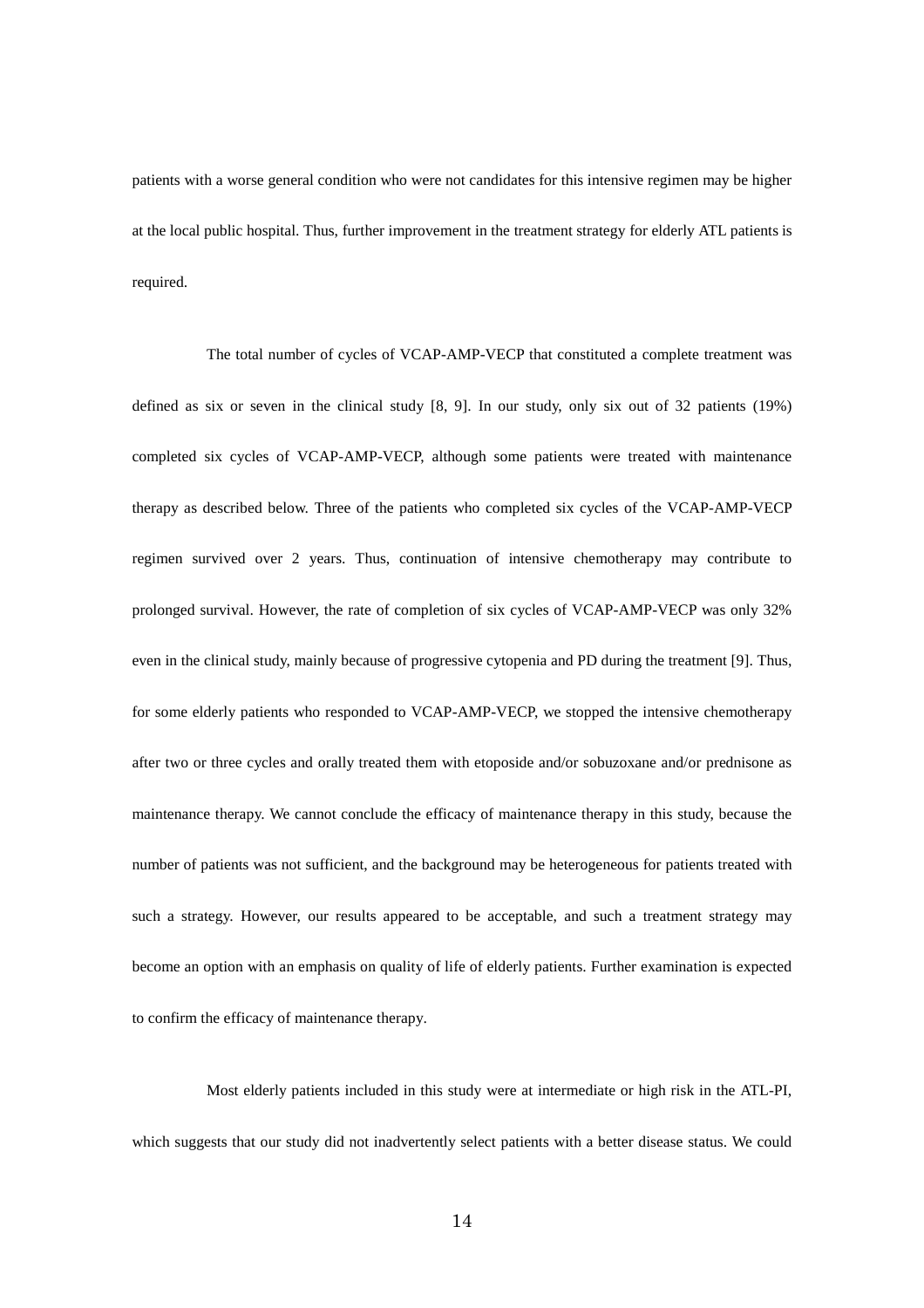patients with a worse general condition who were not candidates for this intensive regimen may be higher at the local public hospital. Thus, further improvement in the treatment strategy for elderly ATL patients is required.

The total number of cycles of VCAP-AMP-VECP that constituted a complete treatment was defined as six or seven in the clinical study [8, 9]. In our study, only six out of 32 patients (19%) completed six cycles of VCAP-AMP-VECP, although some patients were treated with maintenance therapy as described below. Three of the patients who completed six cycles of the VCAP-AMP-VECP regimen survived over 2 years. Thus, continuation of intensive chemotherapy may contribute to prolonged survival. However, the rate of completion of six cycles of VCAP-AMP-VECP was only 32% even in the clinical study, mainly because of progressive cytopenia and PD during the treatment [9]. Thus, for some elderly patients who responded to VCAP-AMP-VECP, we stopped the intensive chemotherapy after two or three cycles and orally treated them with etoposide and/or sobuzoxane and/or prednisone as maintenance therapy. We cannot conclude the efficacy of maintenance therapy in this study, because the number of patients was not sufficient, and the background may be heterogeneous for patients treated with such a strategy. However, our results appeared to be acceptable, and such a treatment strategy may become an option with an emphasis on quality of life of elderly patients. Further examination is expected to confirm the efficacy of maintenance therapy.

Most elderly patients included in this study were at intermediate or high risk in the ATL-PI, which suggests that our study did not inadvertently select patients with a better disease status. We could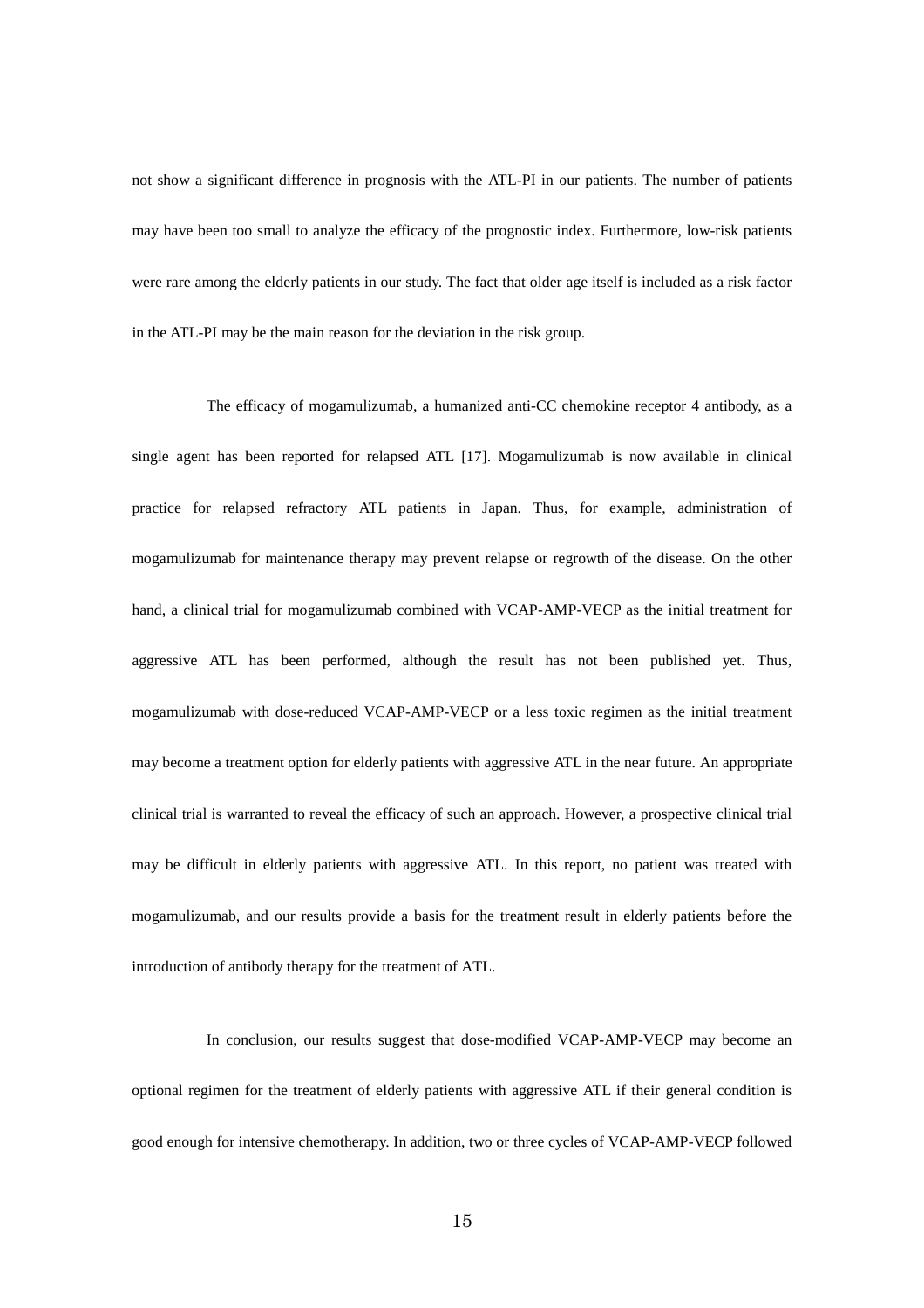not show a significant difference in prognosis with the ATL-PI in our patients. The number of patients may have been too small to analyze the efficacy of the prognostic index. Furthermore, low-risk patients were rare among the elderly patients in our study. The fact that older age itself is included as a risk factor in the ATL-PI may be the main reason for the deviation in the risk group.

The efficacy of mogamulizumab, a humanized anti-CC chemokine receptor 4 antibody, as a single agent has been reported for relapsed ATL [17]. Mogamulizumab is now available in clinical practice for relapsed refractory ATL patients in Japan. Thus, for example, administration of mogamulizumab for maintenance therapy may prevent relapse or regrowth of the disease. On the other hand, a clinical trial for mogamulizumab combined with VCAP-AMP-VECP as the initial treatment for aggressive ATL has been performed, although the result has not been published yet. Thus, mogamulizumab with dose-reduced VCAP-AMP-VECP or a less toxic regimen as the initial treatment may become a treatment option for elderly patients with aggressive ATL in the near future. An appropriate clinical trial is warranted to reveal the efficacy of such an approach. However, a prospective clinical trial may be difficult in elderly patients with aggressive ATL. In this report, no patient was treated with mogamulizumab, and our results provide a basis for the treatment result in elderly patients before the introduction of antibody therapy for the treatment of ATL.

In conclusion, our results suggest that dose-modified VCAP-AMP-VECP may become an optional regimen for the treatment of elderly patients with aggressive ATL if their general condition is good enough for intensive chemotherapy. In addition, two or three cycles of VCAP-AMP-VECP followed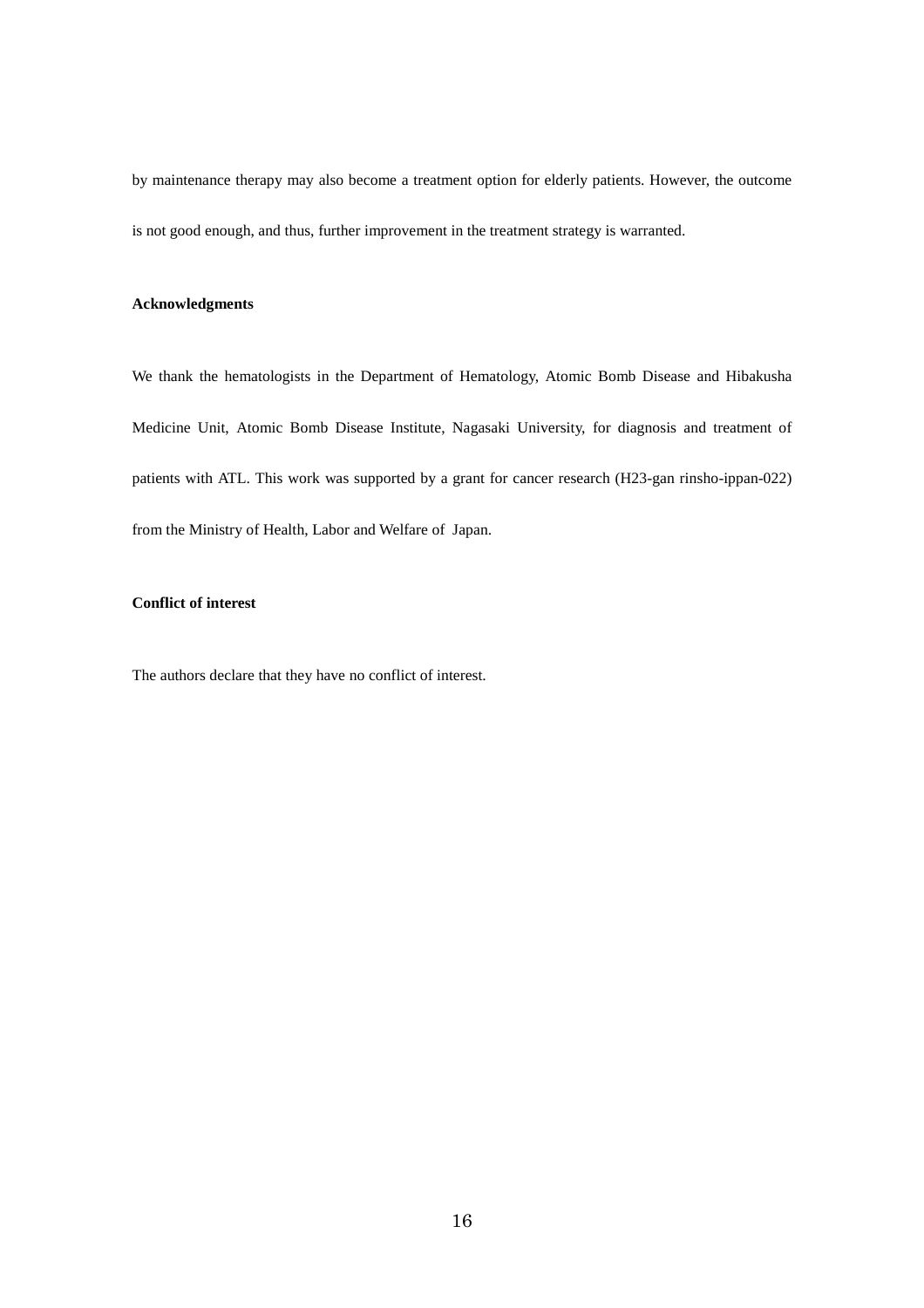by maintenance therapy may also become a treatment option for elderly patients. However, the outcome is not good enough, and thus, further improvement in the treatment strategy is warranted.

### **Acknowledgments**

We thank the hematologists in the Department of Hematology, Atomic Bomb Disease and Hibakusha Medicine Unit, Atomic Bomb Disease Institute, Nagasaki University, for diagnosis and treatment of patients with ATL. This work was supported by a grant for cancer research (H23-gan rinsho-ippan-022) from the Ministry of Health, Labor and Welfare of Japan.

# **Conflict of interest**

The authors declare that they have no conflict of interest.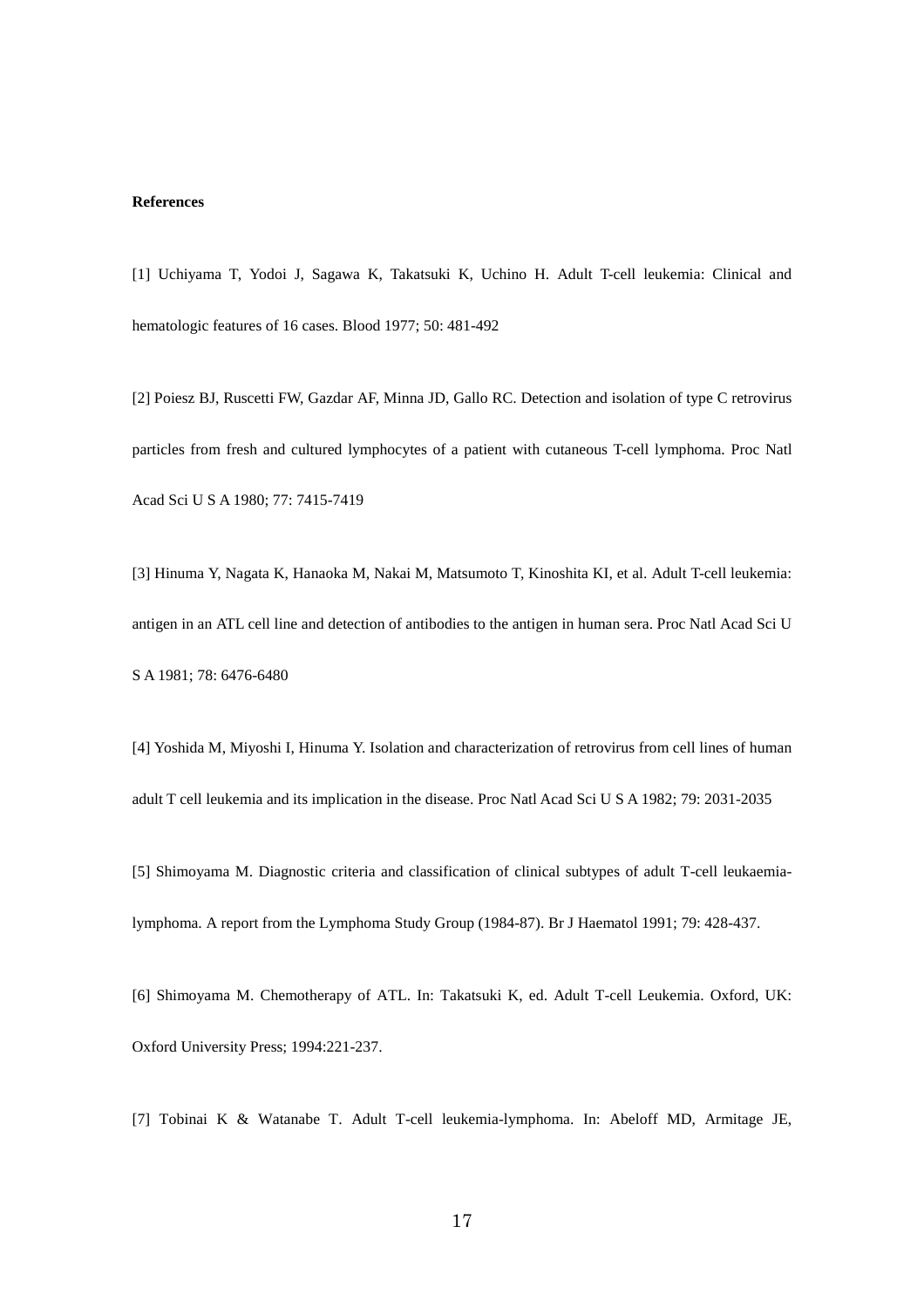#### **References**

[1] Uchiyama T, Yodoi J, Sagawa K, Takatsuki K, Uchino H. Adult T-cell leukemia: Clinical and hematologic features of 16 cases. Blood 1977; 50: 481-492

[2] Poiesz BJ, Ruscetti FW, Gazdar AF, Minna JD, Gallo RC. Detection and isolation of type C retrovirus particles from fresh and cultured lymphocytes of a patient with cutaneous T-cell lymphoma. Proc Natl Acad Sci U S A 1980; 77: 7415-7419

[3] Hinuma Y, Nagata K, Hanaoka M, Nakai M, Matsumoto T, Kinoshita KI, et al. Adult T-cell leukemia: antigen in an ATL cell line and detection of antibodies to the antigen in human sera. Proc Natl Acad Sci U S A 1981; 78: 6476-6480

[4] Yoshida M, Miyoshi I, Hinuma Y. Isolation and characterization of retrovirus from cell lines of human adult T cell leukemia and its implication in the disease. Proc Natl Acad Sci U S A 1982; 79: 2031-2035

[5] Shimoyama M. Diagnostic criteria and classification of clinical subtypes of adult T-cell leukaemialymphoma. A report from the Lymphoma Study Group (1984-87). Br J Haematol 1991; 79: 428-437.

[6] Shimoyama M. Chemotherapy of ATL. In: Takatsuki K, ed. Adult T-cell Leukemia. Oxford, UK: Oxford University Press; 1994:221-237.

[7] Tobinai K & Watanabe T. Adult T-cell leukemia-lymphoma. In: Abeloff MD, Armitage JE,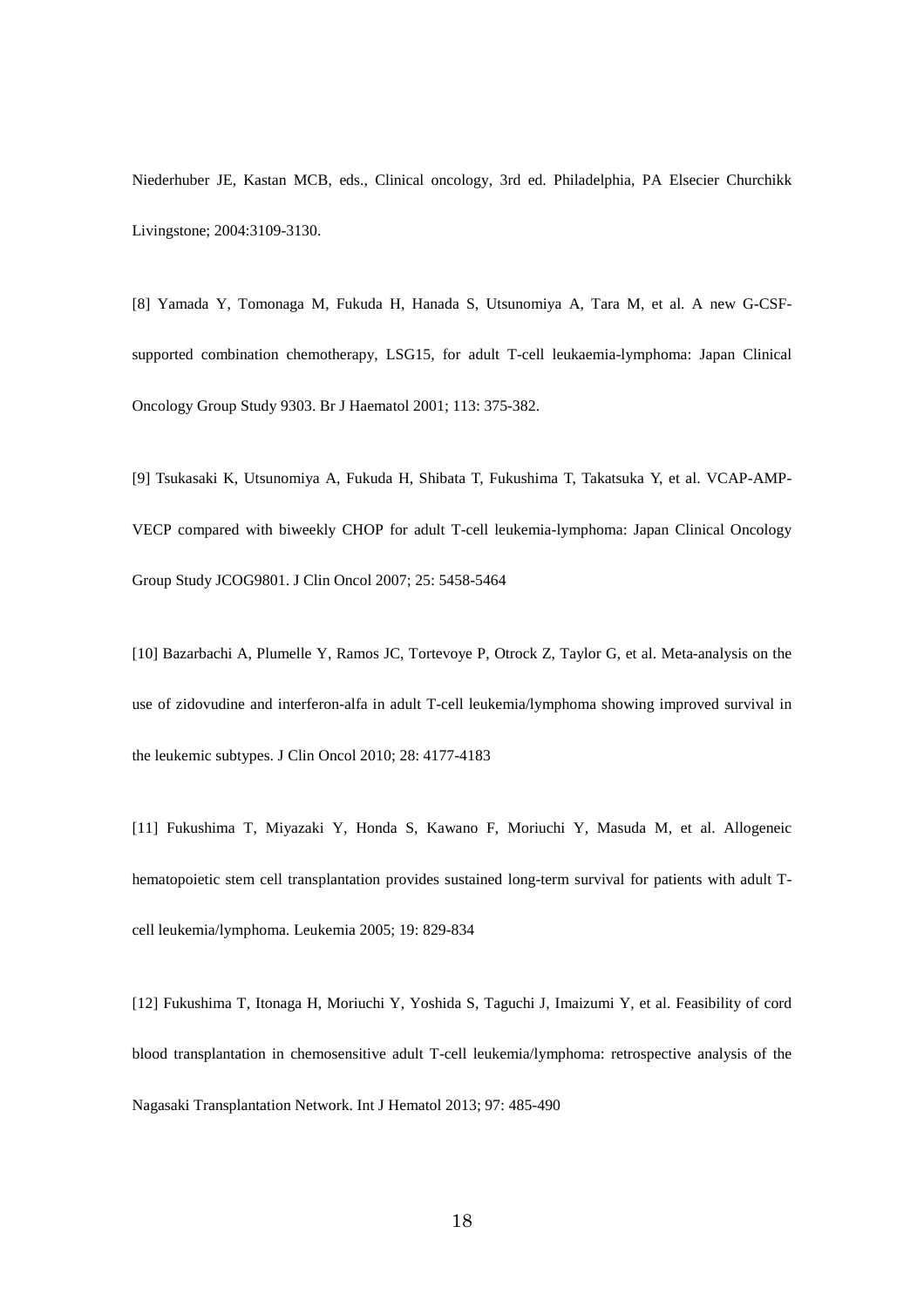Niederhuber JE, Kastan MCB, eds., Clinical oncology, 3rd ed. Philadelphia, PA Elsecier Churchikk Livingstone; 2004:3109-3130.

[8] Yamada Y, Tomonaga M, Fukuda H, Hanada S, Utsunomiya A, Tara M, et al. A new G-CSFsupported combination chemotherapy, LSG15, for adult T-cell leukaemia-lymphoma: Japan Clinical Oncology Group Study 9303. Br J Haematol 2001; 113: 375-382.

[9] Tsukasaki K, Utsunomiya A, Fukuda H, Shibata T, Fukushima T, Takatsuka Y, et al. VCAP-AMP-VECP compared with biweekly CHOP for adult T-cell leukemia-lymphoma: Japan Clinical Oncology Group Study JCOG9801. J Clin Oncol 2007; 25: 5458-5464

[10] Bazarbachi A, Plumelle Y, Ramos JC, Tortevoye P, Otrock Z, Taylor G, et al. Meta-analysis on the use of zidovudine and interferon-alfa in adult T-cell leukemia/lymphoma showing improved survival in the leukemic subtypes. J Clin Oncol 2010; 28: 4177-4183

[11] Fukushima T, Miyazaki Y, Honda S, Kawano F, Moriuchi Y, Masuda M, et al. Allogeneic hematopoietic stem cell transplantation provides sustained long-term survival for patients with adult Tcell leukemia/lymphoma. Leukemia 2005; 19: 829-834

[12] Fukushima T, Itonaga H, Moriuchi Y, Yoshida S, Taguchi J, Imaizumi Y, et al. Feasibility of cord blood transplantation in chemosensitive adult T-cell leukemia/lymphoma: retrospective analysis of the Nagasaki Transplantation Network. Int J Hematol 2013; 97: 485-490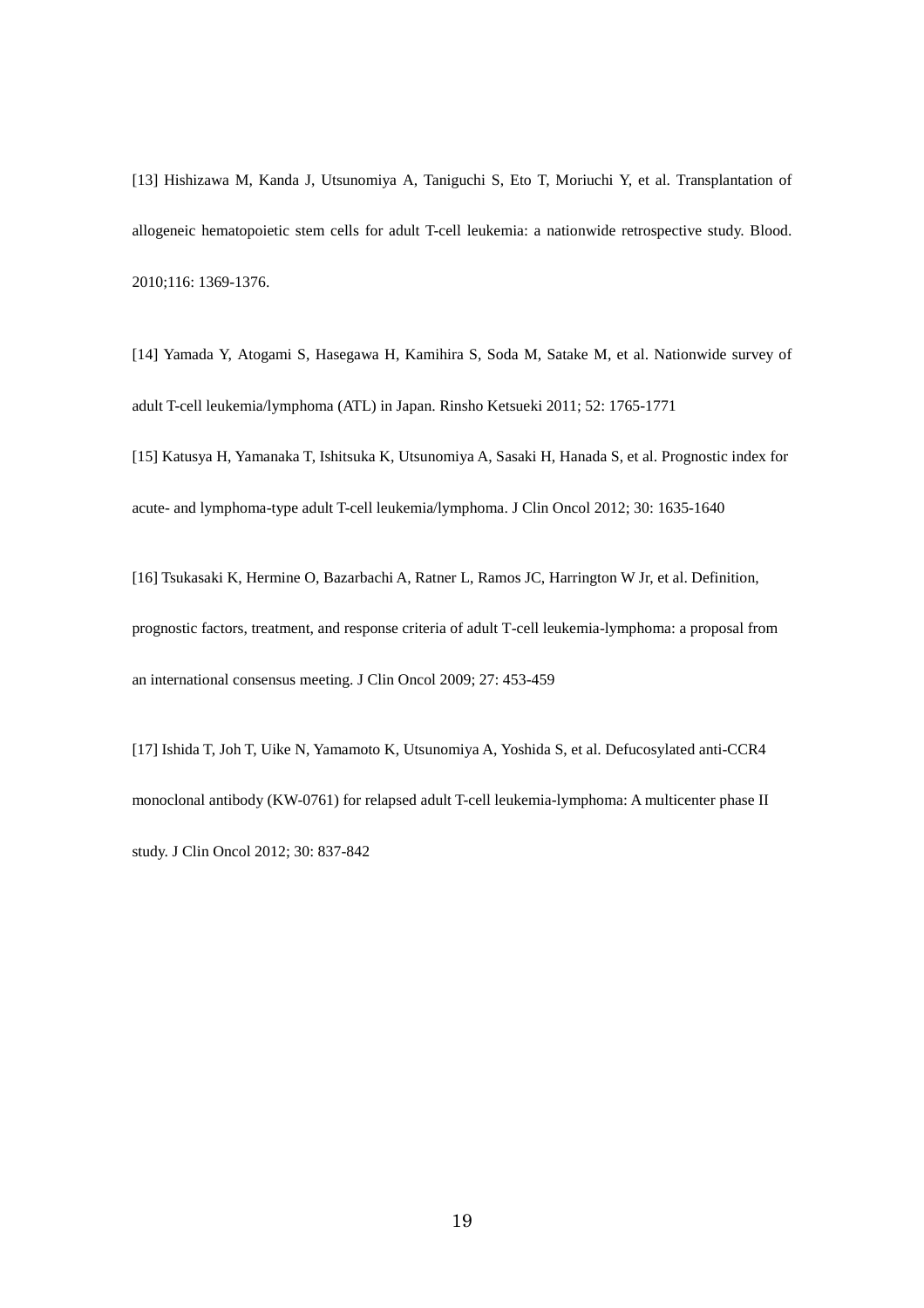[13] Hishizawa M, Kanda J, Utsunomiya A, Taniguchi S, Eto T, Moriuchi Y, et al. Transplantation of allogeneic hematopoietic stem cells for adult T-cell leukemia: a nationwide retrospective study. Blood. 2010;116: 1369-1376.

[14] Yamada Y, Atogami S, Hasegawa H, Kamihira S, Soda M, Satake M, et al. Nationwide survey of adult T-cell leukemia/lymphoma (ATL) in Japan. Rinsho Ketsueki 2011; 52: 1765-1771

[15] Katusya H, Yamanaka T, Ishitsuka K, Utsunomiya A, Sasaki H, Hanada S, et al. Prognostic index for acute- and lymphoma-type adult T-cell leukemia/lymphoma. J Clin Oncol 2012; 30: 1635-1640

[16] Tsukasaki K, Hermine O, Bazarbachi A, Ratner L, Ramos JC, Harrington W Jr, et al. Definition, prognostic factors, treatment, and response criteria of adult T-cell leukemia-lymphoma: a proposal from an international consensus meeting. J Clin Oncol 2009; 27: 453-459

[17] Ishida T, Joh T, Uike N, Yamamoto K, Utsunomiya A, Yoshida S, et al. Defucosylated anti-CCR4 monoclonal antibody (KW-0761) for relapsed adult T-cell leukemia-lymphoma: A multicenter phase II study. J Clin Oncol 2012; 30: 837-842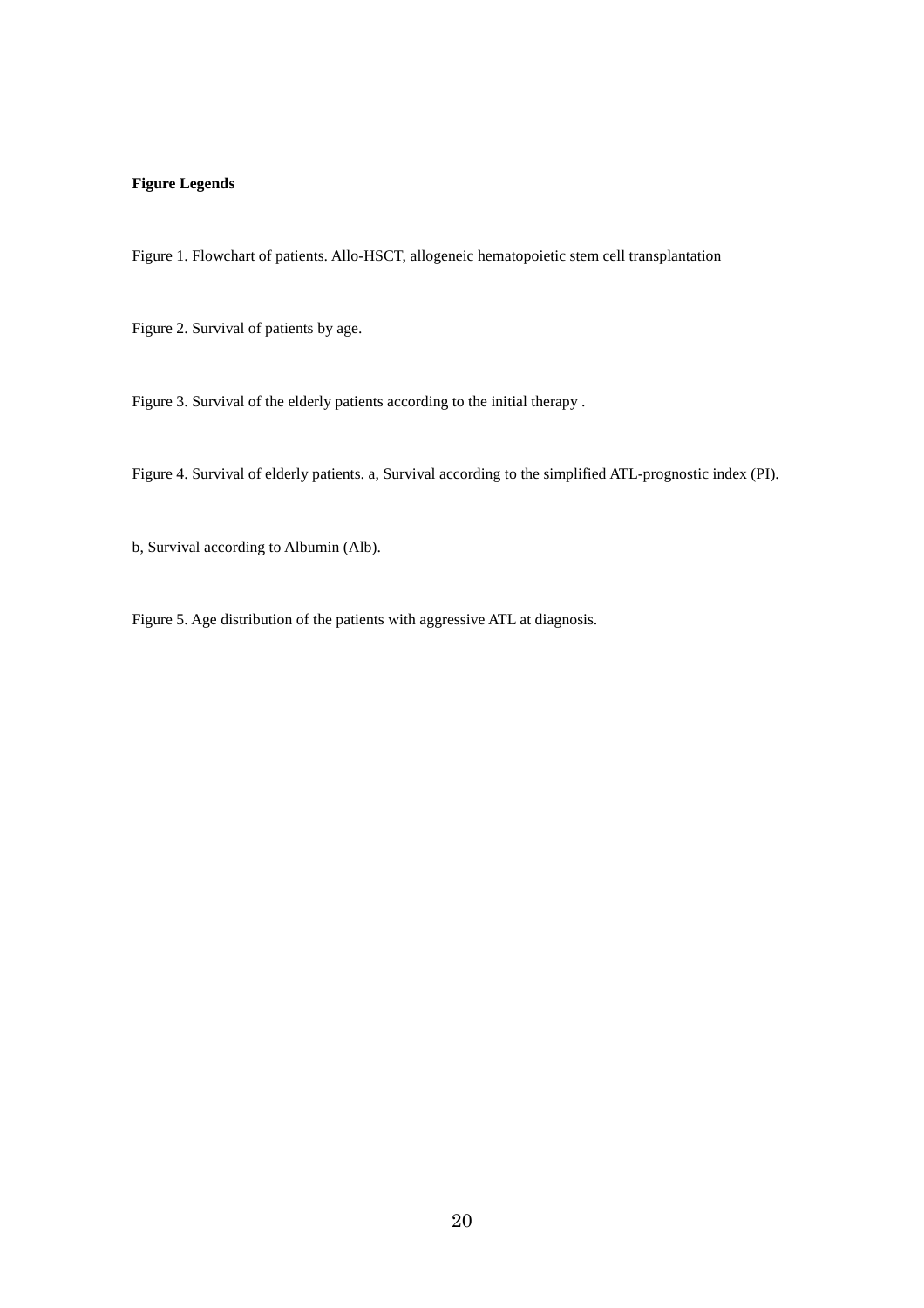# **Figure Legends**

Figure 1. Flowchart of patients. Allo-HSCT, allogeneic hematopoietic stem cell transplantation

Figure 2. Survival of patients by age.

Figure 3. Survival of the elderly patients according to the initial therapy .

Figure 4. Survival of elderly patients. a, Survival according to the simplified ATL-prognostic index (PI).

b, Survival according to Albumin (Alb).

Figure 5. Age distribution of the patients with aggressive ATL at diagnosis.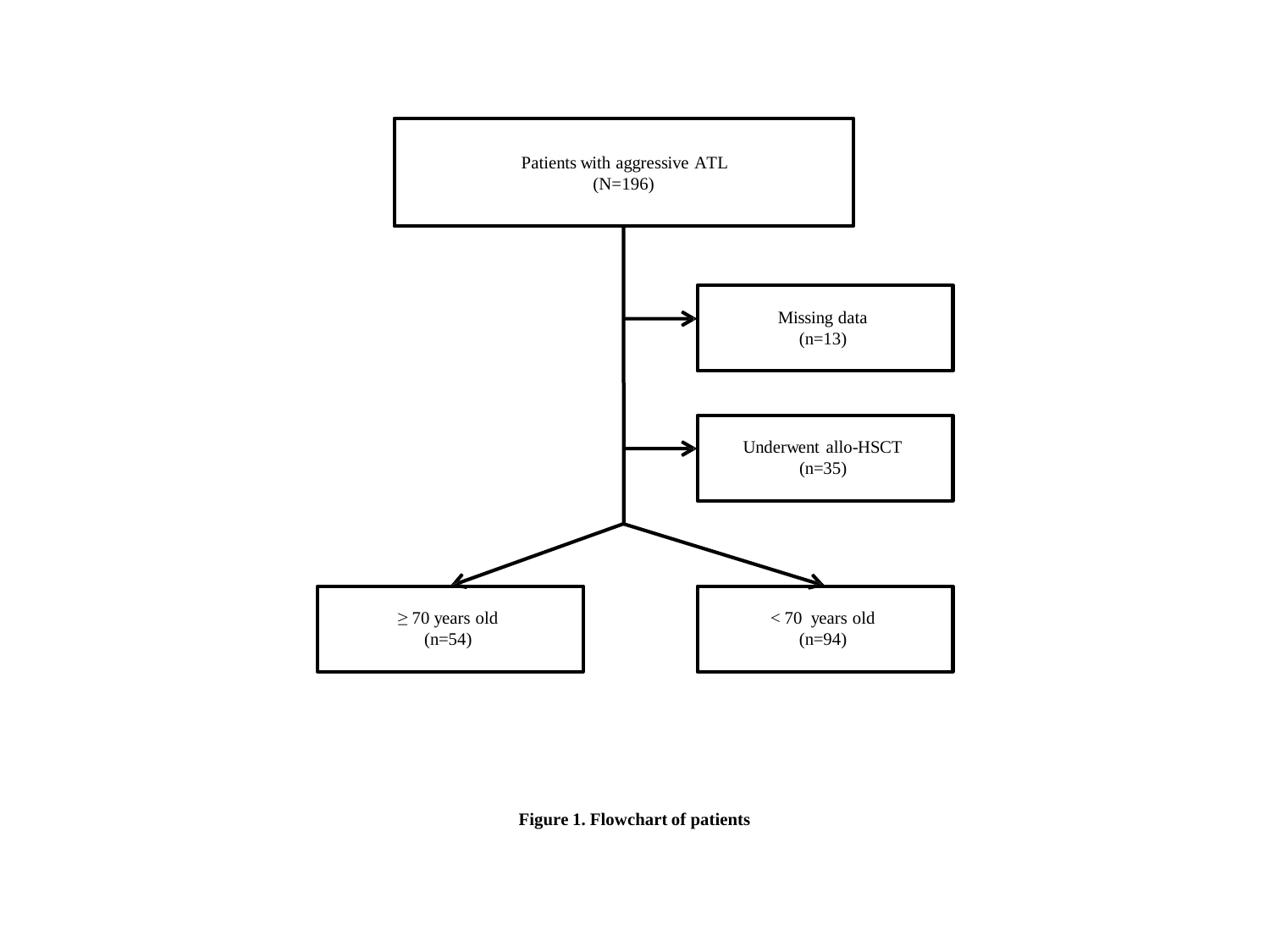

**Figure 1. Flowchart of patients**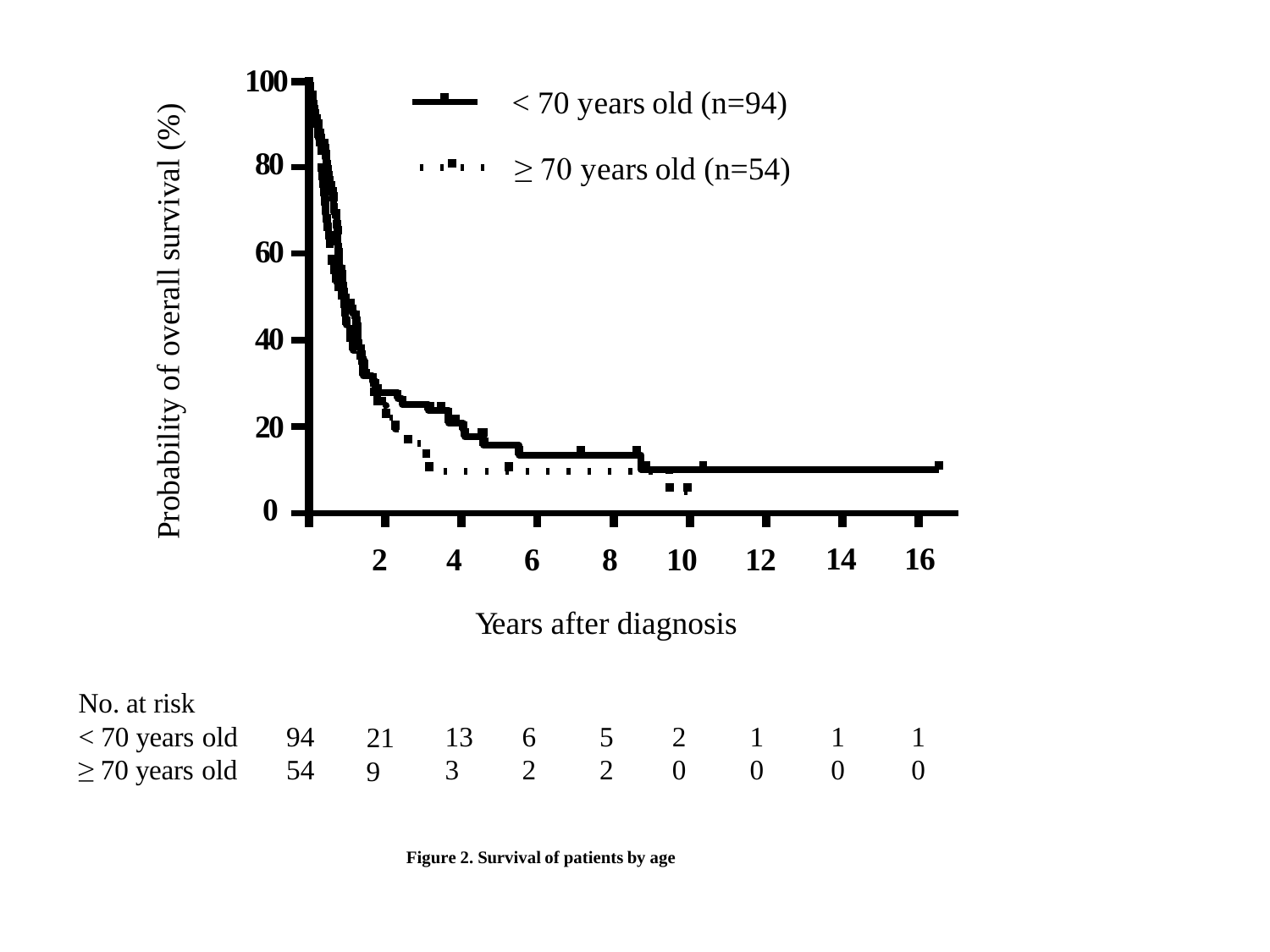

**Figure 2. Survival of patients by age**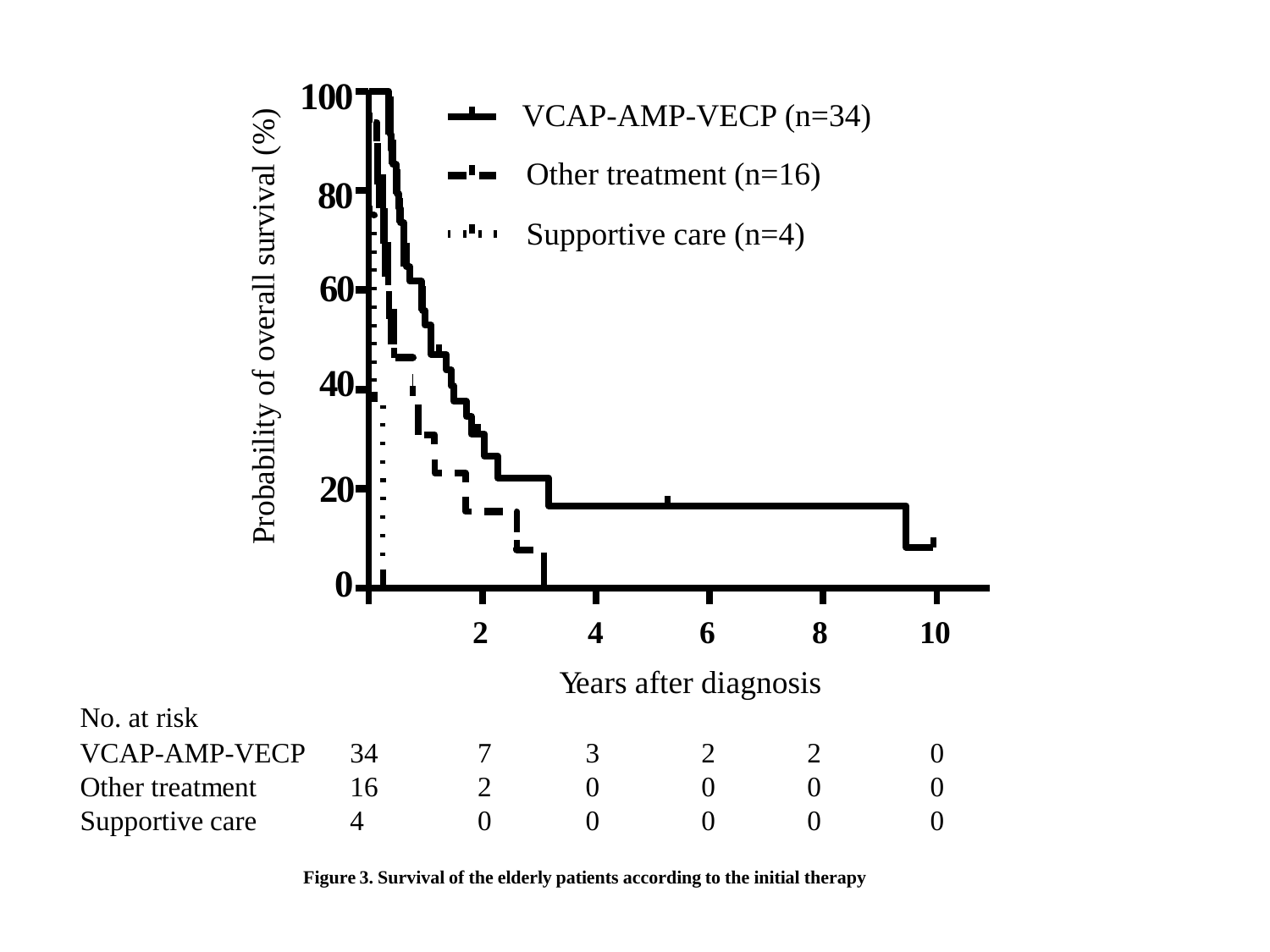

**Figure 3. Survival of the elderly patients according to the initial therapy**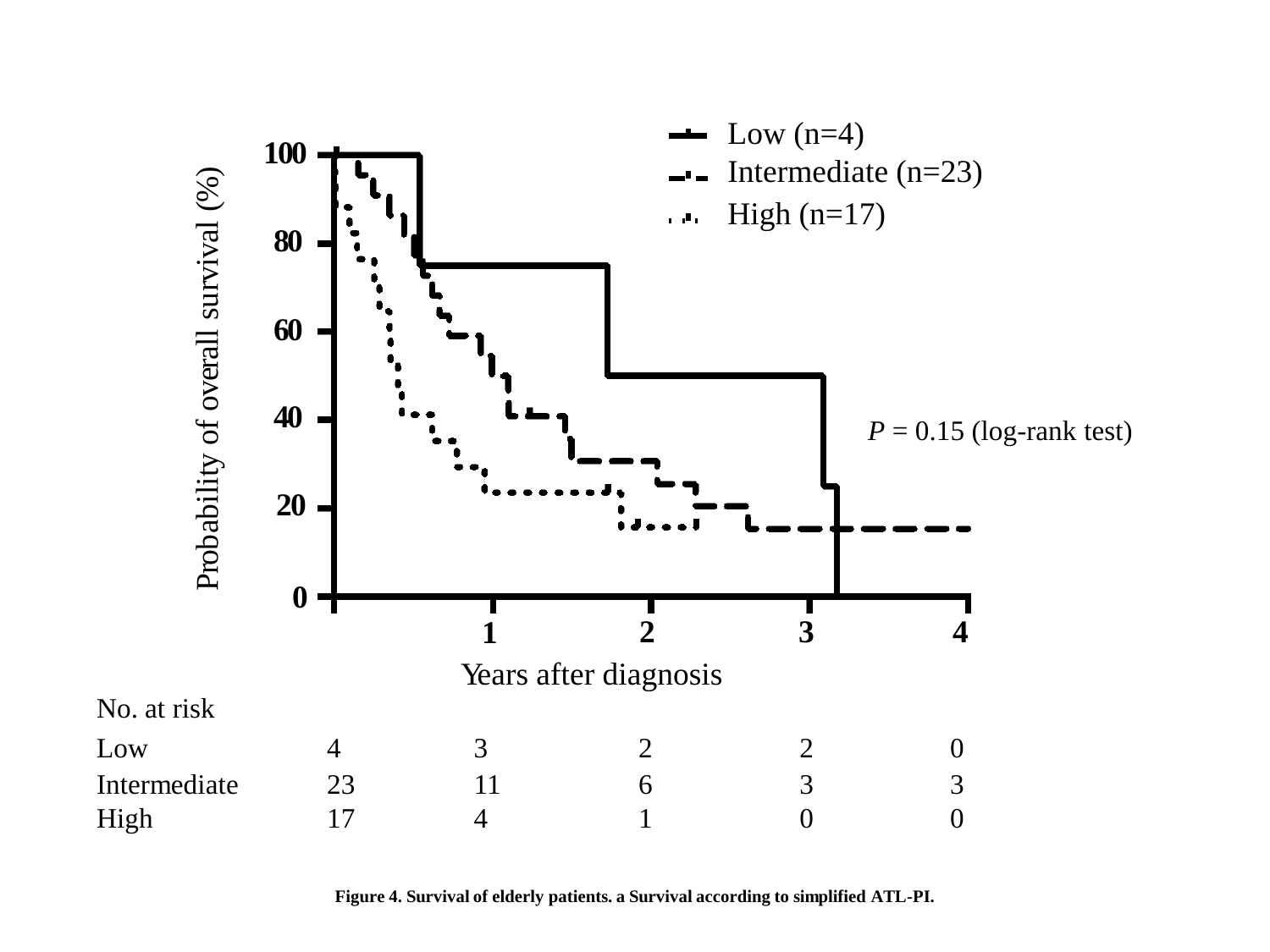

**Figure 4. Survival of elderly patients. a Survival according to simplified ATL-PI.**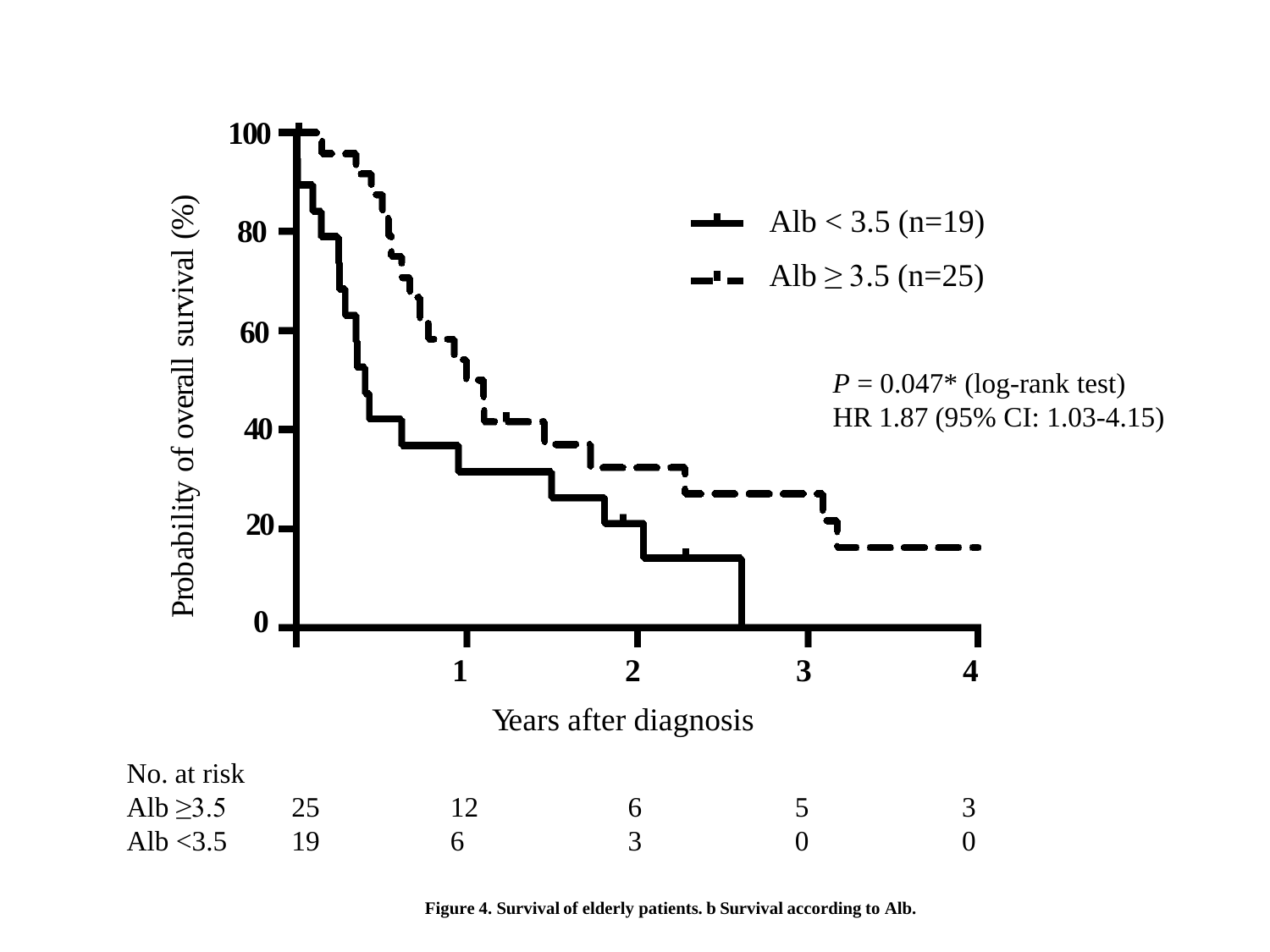

**Figure 4. Survival of elderly patients. b Survival according to Alb.**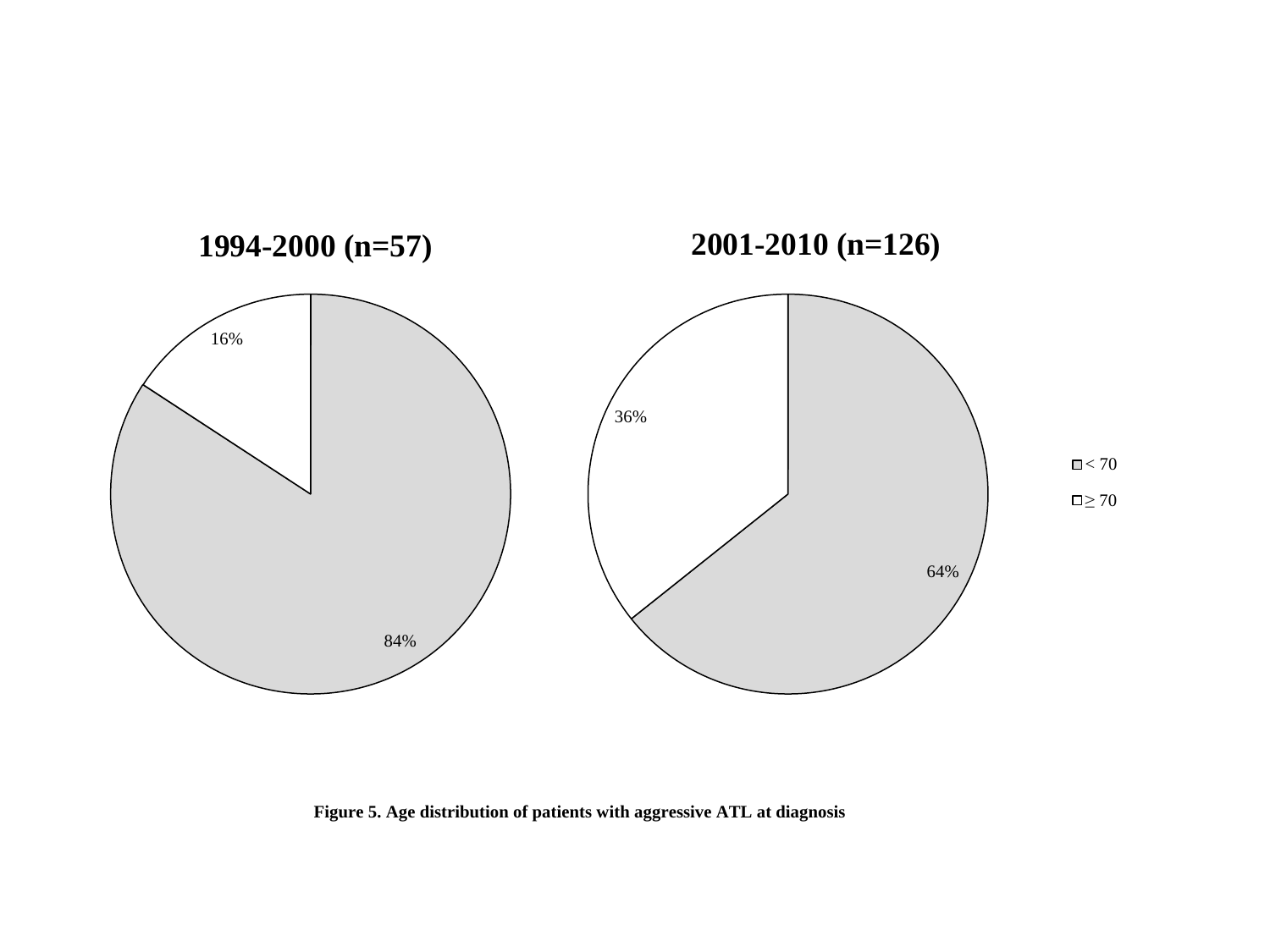

**Figure 5. Age distribution of patients with aggressive ATL at diagnosis**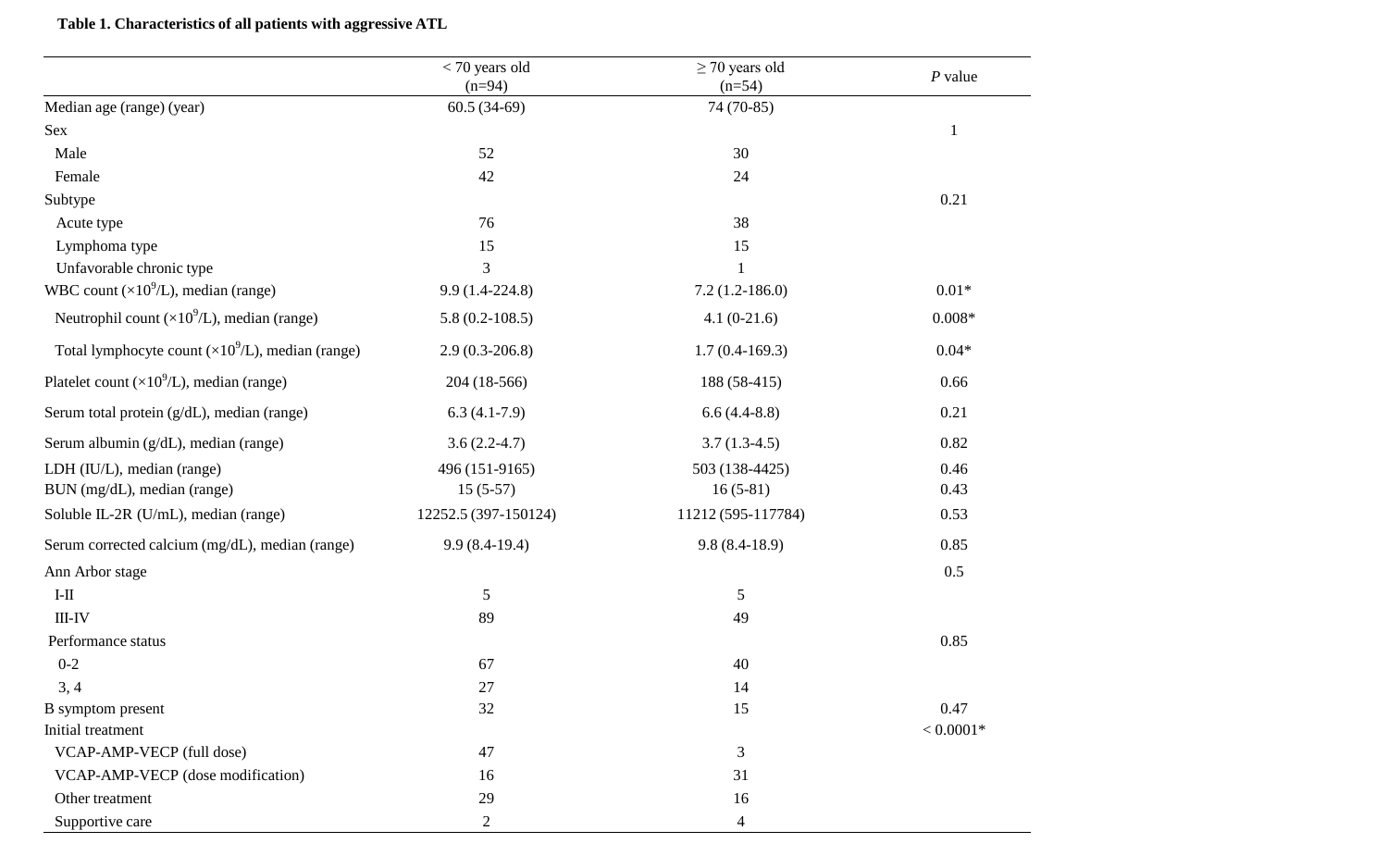# **Table 1. Characteristics of all patients with aggressive ATL**

|                                                           | $<$ 70 years old     | $\geq$ 70 years old | $P$ value    |
|-----------------------------------------------------------|----------------------|---------------------|--------------|
|                                                           | $(n=94)$             | $(n=54)$            |              |
| Median age (range) (year)                                 | $60.5(34-69)$        | 74 (70-85)          |              |
| <b>Sex</b>                                                |                      |                     | $\mathbf{1}$ |
| Male                                                      | 52                   | 30                  |              |
| Female                                                    | 42                   | 24                  |              |
| Subtype                                                   |                      |                     | 0.21         |
| Acute type                                                | 76                   | 38                  |              |
| Lymphoma type                                             | 15                   | 15                  |              |
| Unfavorable chronic type                                  | 3                    | $\mathbf{1}$        |              |
| WBC count $(\times 10^9$ /L), median (range)              | $9.9(1.4-224.8)$     | $7.2(1.2-186.0)$    | $0.01*$      |
| Neutrophil count $(\times 10^9$ /L), median (range)       | $5.8(0.2-108.5)$     | $4.1(0-21.6)$       | $0.008*$     |
| Total lymphocyte count $(\times 10^9/L)$ , median (range) | $2.9(0.3-206.8)$     | $1.7(0.4-169.3)$    | $0.04*$      |
| Platelet count $(\times 10^9$ /L), median (range)         | 204 (18-566)         | 188 (58-415)        | 0.66         |
| Serum total protein (g/dL), median (range)                | $6.3(4.1-7.9)$       | $6.6(4.4-8.8)$      | 0.21         |
| Serum albumin (g/dL), median (range)                      | $3.6(2.2-4.7)$       | $3.7(1.3-4.5)$      | 0.82         |
| LDH (IU/L), median (range)                                | 496 (151-9165)       | 503 (138-4425)      | 0.46         |
| BUN (mg/dL), median (range)                               | $15(5-57)$           | $16(5-81)$          | 0.43         |
| Soluble IL-2R (U/mL), median (range)                      | 12252.5 (397-150124) | 11212 (595-117784)  | 0.53         |
| Serum corrected calcium (mg/dL), median (range)           | $9.9(8.4-19.4)$      | $9.8(8.4-18.9)$     | 0.85         |
| Ann Arbor stage                                           |                      |                     | 0.5          |
| $\rm I\text{-}II$                                         | 5                    | 5                   |              |
| $III-IV$                                                  | 89                   | 49                  |              |
| Performance status                                        |                      |                     | 0.85         |
| $0 - 2$                                                   | 67                   | 40                  |              |
| 3, 4                                                      | 27                   | 14                  |              |
| B symptom present                                         | 32                   | 15                  | 0.47         |
| Initial treatment                                         |                      |                     | $< 0.0001*$  |
| VCAP-AMP-VECP (full dose)                                 | 47                   | 3                   |              |
| VCAP-AMP-VECP (dose modification)                         | 16                   | 31                  |              |
| Other treatment                                           | 29                   | 16                  |              |
| Supportive care                                           | $\overline{c}$       | $\overline{4}$      |              |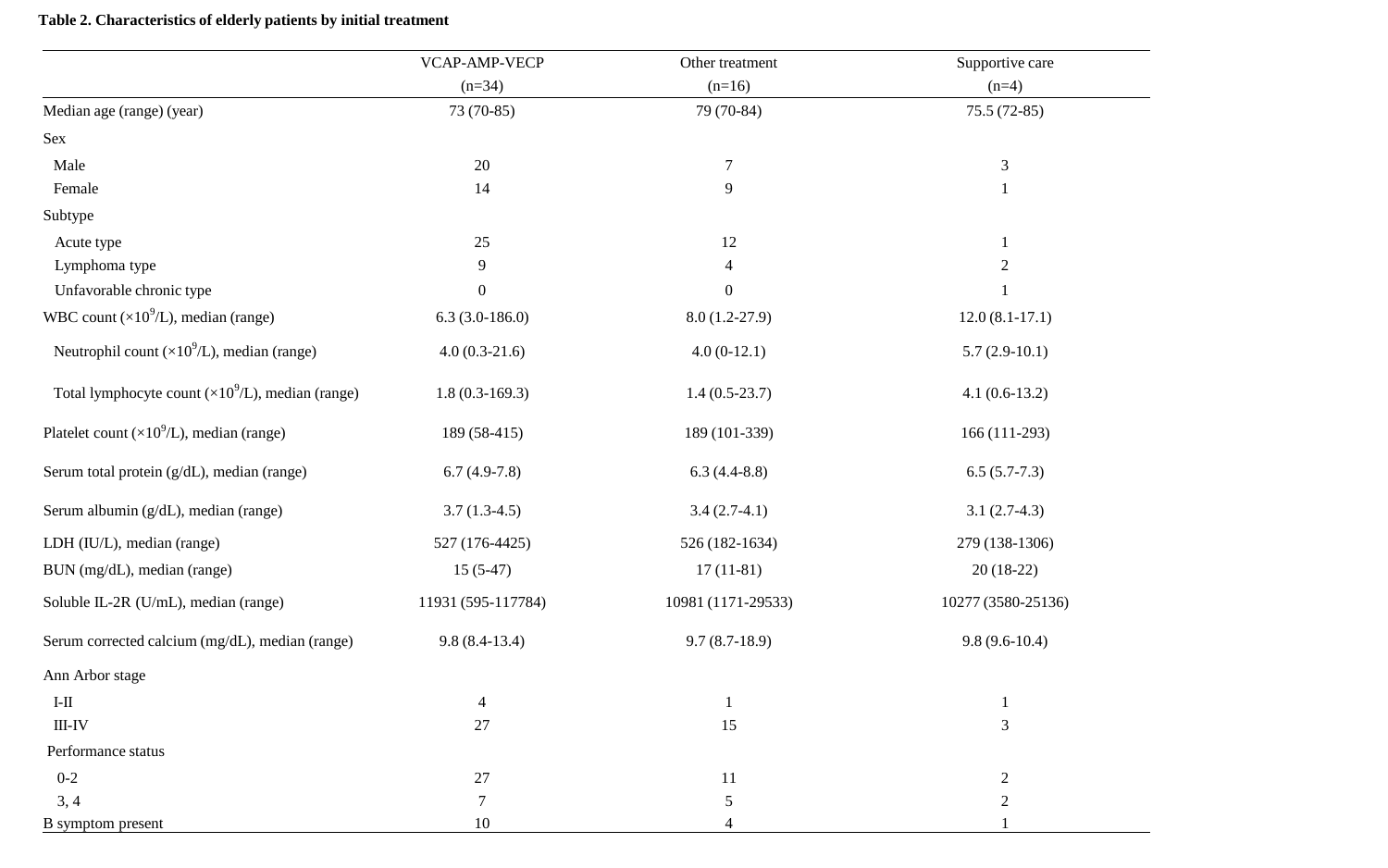### **Table 2. Characteristics of elderly patients by initial treatment**

|                                                           | VCAP-AMP-VECP      | Other treatment<br>$(n=16)$ | Supportive care    |  |
|-----------------------------------------------------------|--------------------|-----------------------------|--------------------|--|
|                                                           | $(n=34)$           |                             | $(n=4)$            |  |
| Median age (range) (year)                                 | 73 (70-85)         | 79 (70-84)                  | $75.5(72-85)$      |  |
| Sex                                                       |                    |                             |                    |  |
| Male                                                      | 20                 | $\boldsymbol{7}$            | 3                  |  |
| Female                                                    | 14                 | 9                           | $\mathbf{1}$       |  |
| Subtype                                                   |                    |                             |                    |  |
| Acute type                                                | 25                 | 12                          | $\mathbf{1}$       |  |
| Lymphoma type                                             | 9                  | $\overline{4}$              | $\overline{2}$     |  |
| Unfavorable chronic type                                  | $\mathbf{0}$       | $\boldsymbol{0}$            | $\mathbf{1}$       |  |
| WBC count $(\times 10^9$ /L), median (range)              | $6.3(3.0-186.0)$   | $8.0(1.2-27.9)$             | $12.0(8.1-17.1)$   |  |
| Neutrophil count $(\times 10^9$ /L), median (range)       | $4.0(0.3-21.6)$    | $4.0(0-12.1)$               | $5.7(2.9-10.1)$    |  |
| Total lymphocyte count $(\times 10^9$ /L), median (range) | $1.8(0.3-169.3)$   | $1.4(0.5-23.7)$             | $4.1(0.6-13.2)$    |  |
| Platelet count $(\times 10^9$ /L), median (range)         | 189 (58-415)       | 189 (101-339)               | $166(111-293)$     |  |
| Serum total protein (g/dL), median (range)                | $6.7(4.9-7.8)$     | $6.3(4.4-8.8)$              | $6.5(5.7-7.3)$     |  |
| Serum albumin (g/dL), median (range)                      | $3.7(1.3-4.5)$     | $3.4(2.7-4.1)$              | $3.1(2.7-4.3)$     |  |
| LDH (IU/L), median (range)                                | 527 (176-4425)     | 526 (182-1634)              | 279 (138-1306)     |  |
| BUN (mg/dL), median (range)                               | $15(5-47)$         | $17(11-81)$                 | $20(18-22)$        |  |
| Soluble IL-2R (U/mL), median (range)                      | 11931 (595-117784) | 10981 (1171-29533)          | 10277 (3580-25136) |  |
| Serum corrected calcium (mg/dL), median (range)           | $9.8(8.4-13.4)$    | $9.7(8.7-18.9)$             | $9.8(9.6-10.4)$    |  |
| Ann Arbor stage                                           |                    |                             |                    |  |
| $\rm I\text{-}II$                                         | $\overline{4}$     | $\mathbf{1}$                | $\mathbf{1}$       |  |
| $III-IV$                                                  | 27                 | 15                          | 3                  |  |
| Performance status                                        |                    |                             |                    |  |
| $0 - 2$                                                   | 27                 | 11                          | $\overline{c}$     |  |
| 3, 4                                                      | $\tau$             | 5                           | $\overline{c}$     |  |
| B symptom present                                         | 10                 | $\overline{4}$              |                    |  |